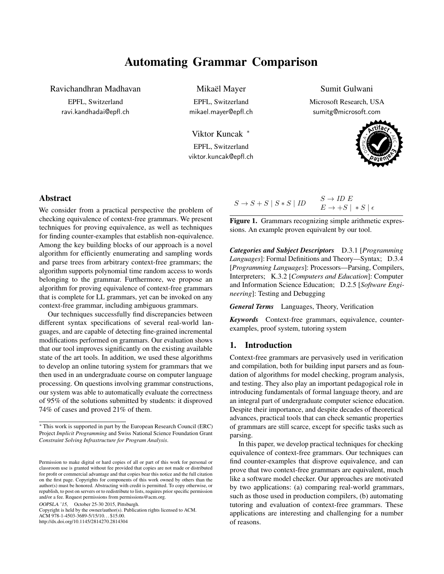# Automating Grammar Comparison

Ravichandhran Madhavan

EPFL, Switzerland ravi.kandhadai@epfl.ch Mikaël Mayer

EPFL, Switzerland mikael.mayer@epfl.ch

Viktor Kuncak <sup>∗</sup> EPFL, Switzerland viktor.kuncak@epfl.ch

## Sumit Gulwani

Microsoft Research, USA sumitg@microsoft.com



# Abstract

We consider from a practical perspective the problem of checking equivalence of context-free grammars. We present techniques for proving equivalence, as well as techniques for finding counter-examples that establish non-equivalence. Among the key building blocks of our approach is a novel algorithm for efficiently enumerating and sampling words and parse trees from arbitrary context-free grammars; the algorithm supports polynomial time random access to words belonging to the grammar. Furthermore, we propose an algorithm for proving equivalence of context-free grammars that is complete for LL grammars, yet can be invoked on any context-free grammar, including ambiguous grammars.

Our techniques successfully find discrepancies between different syntax specifications of several real-world languages, and are capable of detecting fine-grained incremental modifications performed on grammars. Our evaluation shows that our tool improves significantly on the existing available state of the art tools. In addition, we used these algorithms to develop an online tutoring system for grammars that we then used in an undergraduate course on computer language processing. On questions involving grammar constructions, our system was able to automatically evaluate the correctness of 95% of the solutions submitted by students: it disproved 74% of cases and proved 21% of them.

OOPSLA '15, October 25-30 2015, Pittsburgh.

Copyright is held by the owner/author(s). Publication rights licensed to ACM. ACM 978-1-4503-3689-5/15/10... \$15.00. http://dx.doi.org/10.1145/2814270.2814304

| $S \rightarrow S + S   S * S   ID$ | $S \to ID E$                           |
|------------------------------------|----------------------------------------|
|                                    | $E \rightarrow +S$   $*S$   $\epsilon$ |

<span id="page-0-0"></span>Figure 1. Grammars recognizing simple arithmetic expressions. An example proven equivalent by our tool.

*Categories and Subject Descriptors* D.3.1 [*Programming Languages*]: Formal Definitions and Theory—Syntax; D.3.4 [*Programming Languages*]: Processors—Parsing, Compilers, Interpreters; K.3.2 [*Computers and Education*]: Computer and Information Science Education; D.2.5 [*Software Engineering*]: Testing and Debugging

*General Terms* Languages, Theory, Verification

*Keywords* Context-free grammars, equivalence, counterexamples, proof system, tutoring system

# 1. Introduction

Context-free grammars are pervasively used in verification and compilation, both for building input parsers and as foundation of algorithms for model checking, program analysis, and testing. They also play an important pedagogical role in introducing fundamentals of formal language theory, and are an integral part of undergraduate computer science education. Despite their importance, and despite decades of theoretical advances, practical tools that can check semantic properties of grammars are still scarce, except for specific tasks such as parsing.

In this paper, we develop practical techniques for checking equivalence of context-free grammars. Our techniques can find counter-examples that disprove equivalence, and can prove that two context-free grammars are equivalent, much like a software model checker. Our approaches are motivated by two applications: (a) comparing real-world grammars, such as those used in production compilers, (b) automating tutoring and evaluation of context-free grammars. These applications are interesting and challenging for a number of reasons.

<sup>∗</sup> This work is supported in part by the European Research Council (ERC) Project *Implicit Programming* and Swiss National Science Foundation Grant *Constraint Solving Infrastructure for Program Analysis*.

Permission to make digital or hard copies of all or part of this work for personal or classroom use is granted without fee provided that copies are not made or distributed for profit or commercial advantage and that copies bear this notice and the full citation on the first page. Copyrights for components of this work owned by others than the author(s) must be honored. Abstracting with credit is permitted. To copy otherwise, or republish, to post on servers or to redistribute to lists, requires prior specific permission and/or a fee. Request permissions from permissions@acm.org.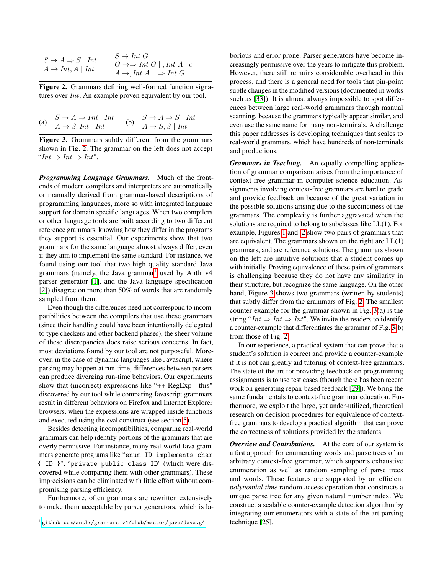|                                  | $S \to Int\ G$                                           |
|----------------------------------|----------------------------------------------------------|
| $S \to A \Rightarrow S \mid Int$ | $G \rightarrow \Rightarrow Int G  $ , Int $A   \epsilon$ |
| $A \rightarrow Int, A \mid Int$  | $A \rightarrow Int A \mid \Rightarrow Int G$             |

<span id="page-1-0"></span>Figure 2. Grammars defining well-formed function signatures over *Int*. An example proven equivalent by our tool.

|     | $S \to A \Rightarrow Int \mid Int$ |     | $S \to A \Rightarrow S \mid Int$ |
|-----|------------------------------------|-----|----------------------------------|
| (a) | $A \rightarrow S, Int \mid Int$    | (b) | $A \rightarrow S, S \mid Int$    |

<span id="page-1-2"></span>Figure 3. Grammars subtly different from the grammars shown in Fig. [2.](#page-1-0) The grammar on the left does not accept " $Int \Rightarrow Int \Rightarrow Int$ ".

*Programming Language Grammars.* Much of the frontends of modern compilers and interpreters are automatically or manually derived from grammar-based descriptions of programming languages, more so with integrated language support for domain specific languages. When two compilers or other language tools are built according to two different reference grammars, knowing how they differ in the programs they support is essential. Our experiments show that two grammars for the same language almost always differ, even if they aim to implement the same standard. For instance, we found using our tool that two high quality standard Java grammars (namely, the Java grammar<sup>[1](#page-1-1)</sup> used by Antlr  $v4$ parser generator [\[1\]](#page-15-0), and the Java language specification [\[2\]](#page-15-1)) disagree on more than 50% of words that are randomly sampled from them.

Even though the differences need not correspond to incompatibilities between the compilers that use these grammars (since their handling could have been intentionally delegated to type checkers and other backend phases), the sheer volume of these discrepancies does raise serious concerns. In fact, most deviations found by our tool are not purposeful. Moreover, in the case of dynamic languages like Javascript, where parsing may happen at run-time, differences between parsers can produce diverging run-time behaviors. Our experiments show that (incorrect) expressions like "++ RegExp - this" discovered by our tool while comparing Javascript grammars result in different behaviors on Firefox and Internet Explorer browsers, when the expressions are wrapped inside functions and executed using the eval construct (see section [5\)](#page-10-0).

Besides detecting incompatibilities, comparing real-world grammars can help identify portions of the grammars that are overly permissive. For instance, many real-world Java grammars generate programs like "enum ID implements char { ID }", "private public class ID" (which were discovered while comparing them with other grammars). These imprecisions can be eliminated with little effort without compromising parsing efficiency.

Furthermore, often grammars are rewritten extensively to make them acceptable by parser generators, which is laborious and error prone. Parser generators have become increasingly permissive over the years to mitigate this problem. However, there still remains considerable overhead in this process, and there is a general need for tools that pin-point subtle changes in the modified versions (documented in works such as [\[33\]](#page-16-0)). It is almost always impossible to spot differences between large real-world grammars through manual scanning, because the grammars typically appear similar, and even use the same name for many non-terminals. A challenge this paper addresses is developing techniques that scales to real-world grammars, which have hundreds of non-terminals and productions.

*Grammars in Teaching.* An equally compelling application of grammar comparison arises from the importance of context-free grammar in computer science education. Assignments involving context-free grammars are hard to grade and provide feedback on because of the great variation in the possible solutions arising due to the succinctness of the grammars. The complexity is further aggravated when the solutions are required to belong to subclasses like LL(1). For example, Figures [1](#page-0-0) and [2](#page-1-0) show two pairs of grammars that are equivalent. The grammars shown on the right are  $LL(1)$ grammars, and are reference solutions. The grammars shown on the left are intuitive solutions that a student comes up with initially. Proving equivalence of these pairs of grammars is challenging because they do not have any similarity in their structure, but recognize the same language. On the other hand, Figure [3](#page-1-2) shows two grammars (written by students) that subtly differ from the grammars of Fig. [2.](#page-1-0) The smallest counter-example for the grammar shown in Fig. [3\(](#page-1-2)a) is the string " $Int \Rightarrow Int \Rightarrow Int$ ". We invite the readers to identify a counter-example that differentiates the grammar of Fig. [3\(](#page-1-2)b) from those of Fig. [2.](#page-1-0)

In our experience, a practical system that can prove that a student's solution is correct and provide a counter-example if it is not can greatly aid tutoring of context-free grammars. The state of the art for providing feedback on programming assignments is to use test cases (though there has been recent work on generating repair based feedback [\[29\]](#page-16-1)). We bring the same fundamentals to context-free grammar education. Furthermore, we exploit the large, yet under-utilized, theoretical research on decision procedures for equivalence of contextfree grammars to develop a practical algorithm that can prove the correctness of solutions provided by the students.

*Overview and Contributions.* At the core of our system is a fast approach for enumerating words and parse trees of an arbitrary context-free grammar, which supports exhaustive enumeration as well as random sampling of parse trees and words. These features are supported by an efficient *polynomial time* random access operation that constructs a unique parse tree for any given natural number index. We construct a scalable counter-example detection algorithm by integrating our enumerators with a state-of-the-art parsing technique [\[25\]](#page-16-2).

<span id="page-1-1"></span><sup>1</sup> <github.com/antlr/grammars-v4/blob/master/java/Java.g4>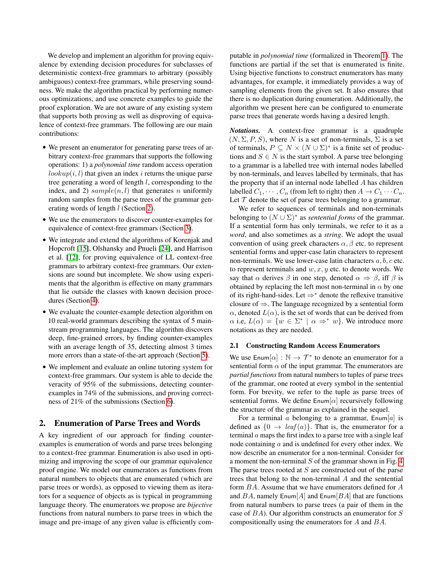We develop and implement an algorithm for proving equivalence by extending decision procedures for subclasses of deterministic context-free grammars to arbitrary (possibly ambiguous) context-free grammars, while preserving soundness. We make the algorithm practical by performing numerous optimizations, and use concrete examples to guide the proof exploration. We are not aware of any existing system that supports both proving as well as disproving of equivalence of context-free grammars. The following are our main contributions:

- We present an enumerator for generating parse trees of arbitrary context-free grammars that supports the following operations: 1) a *polynomial time* random access operation  $lookup(i, l)$  that given an index i returns the unique parse tree generating a word of length  $l$ , corresponding to the index, and 2)  $sample(n, l)$  that generates n uniformly random samples from the parse trees of the grammar generating words of length l (Section [2\)](#page-2-0).
- We use the enumerators to discover counter-examples for equivalence of context-free grammars (Section [3\)](#page-6-0).
- We integrate and extend the algorithms of Korenjak and Hopcroft [\[15\]](#page-15-2), Olshansky and Pnueli [\[24\]](#page-16-3), and Harrison et al. [\[12\]](#page-15-3), for proving equivalence of LL context-free grammars to arbitrary context-free grammars. Our extensions are sound but incomplete. We show using experiments that the algorithm is effective on many grammars that lie outside the classes with known decision procedures (Section [4\)](#page-6-1).
- We evaluate the counter-example detection algorithm on 10 real-world grammars describing the syntax of 5 mainstream programming languages. The algorithm discovers deep, fine-grained errors, by finding counter-examples with an average length of 35, detecting almost 3 times more errors than a state-of-the-art approach (Section [5\)](#page-10-0).
- We implement and evaluate an online tutoring system for context-free grammars. Our system is able to decide the veracity of 95% of the submissions, detecting counterexamples in 74% of the submissions, and proving correctness of 21% of the submissions (Section [6\)](#page-13-0).

# <span id="page-2-0"></span>2. Enumeration of Parse Trees and Words

A key ingredient of our approach for finding counterexamples is enumeration of words and parse trees belonging to a context-free grammar. Enumeration is also used in optimizing and improving the scope of our grammar equivalence proof engine. We model our enumerators as functions from natural numbers to objects that are enumerated (which are parse trees or words), as opposed to viewing them as iterators for a sequence of objects as is typical in programming language theory. The enumerators we propose are *bijective* functions from natural numbers to parse trees in which the image and pre-image of any given value is efficiently computable in *polynomial time* (formalized in Theorem [1\)](#page-5-0). The functions are partial if the set that is enumerated is finite. Using bijective functions to construct enumerators has many advantages, for example, it immediately provides a way of sampling elements from the given set. It also ensures that there is no duplication during enumeration. Additionally, the algorithm we present here can be configured to enumerate parse trees that generate words having a desired length.

*Notations.* A context-free grammar is a quadruple  $(N, \Sigma, P, S)$ , where N is a set of non-terminals,  $\Sigma$  is a set of terminals,  $P \subseteq N \times (N \cup \Sigma)^*$  is a finite set of productions and  $S \in N$  is the start symbol. A parse tree belonging to a grammar is a labelled tree with internal nodes labelled by non-terminals, and leaves labelled by terminals, that has the property that if an internal node labelled  $A$  has children labelled  $C_1, \cdots, C_n$  (from left to right) then  $A \to C_1 \cdots C_n$ . Let  $T$  denote the set of parse trees belonging to a grammar.

We refer to sequences of terminals and non-terminals belonging to  $(N \cup \Sigma)^*$  as *sentential forms* of the grammar. If a sentential form has only terminals, we refer to it as a *word*, and also sometimes as a *string*. We adopt the usual convention of using greek characters  $\alpha$ ,  $\beta$  etc. to represent sentential forms and upper-case latin characters to represent non-terminals. We use lower-case latin characters  $a, b, c$  etc. to represent terminals and  $w, x, y$  etc. to denote words. We say that  $\alpha$  derives  $\beta$  in one step, denoted  $\alpha \Rightarrow \beta$ , iff  $\beta$  is obtained by replacing the left most non-terminal in  $\alpha$  by one of its right-hand-sides. Let ⇒<sup>∗</sup> denote the reflexive transitive closure of  $\Rightarrow$ . The language recognized by a sentential form  $\alpha$ , denoted  $L(\alpha)$ , is the set of words that can be derived from  $\alpha$  i.e,  $L(\alpha) = \{w \in \Sigma^* \mid \alpha \Rightarrow^* w\}$ . We introduce more notations as they are needed.

#### 2.1 Constructing Random Access Enumerators

We use  $\text{Enum}[\alpha] : \mathbb{N} \to \mathcal{T}^*$  to denote an enumerator for a sentential form  $\alpha$  of the input grammar. The enumerators are *partial functions* from natural numbers to tuples of parse trees of the grammar, one rooted at every symbol in the sentential form. For brevity, we refer to the tuple as parse trees of sentential forms. We define  $\text{Enum}[\alpha]$  recursively following the structure of the grammar as explained in the sequel.

For a terminal  $a$  belonging to a grammar,  $\text{Enum}[a]$  is defined as  $\{0 \rightarrow leaf(a)\}\$ . That is, the enumerator for a terminal a maps the first index to a parse tree with a single leaf node containing a and is undefined for every other index. We now describe an enumerator for a non-terminal. Consider for a moment the non-terminal  $S$  of the grammar shown in Fig. [4.](#page-3-0) The parse trees rooted at  $S$  are constructed out of the parse trees that belong to the non-terminal A and the sentential form BA. Assume that we have enumerators defined for A and  $BA$ , namely Enum $[A]$  and Enum $[BA]$  that are functions from natural numbers to parse trees (a pair of them in the case of BA). Our algorithm constructs an enumerator for S compositionally using the enumerators for A and BA.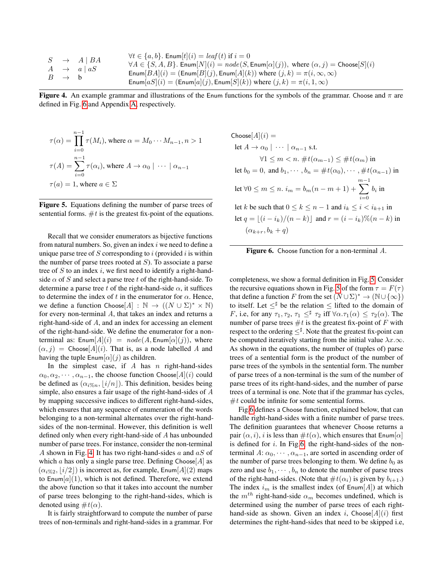|                   | $S \rightarrow A \mid BA$ | $\forall t \in \{a, b\}$ . Enum $[t](i) = leaf(t)$ if $i = 0$<br>$\forall A \in \{S, A, B\}$ . Enum $[N](i) = node(S, \text{Enum}[\alpha](j))$ , where $(\alpha, j) = \text{Choose}[S](i)$ |
|-------------------|---------------------------|--------------------------------------------------------------------------------------------------------------------------------------------------------------------------------------------|
|                   | $A \rightarrow a \mid aS$ | Enum $[BA](i) = (Enum[B](j), Enum[A](k))$ where $(j, k) = \pi(i, \infty, \infty)$                                                                                                          |
| $B \rightarrow b$ |                           |                                                                                                                                                                                            |
|                   |                           | Enum $[aS](i) = (Enum[a](j), Enum[S](k))$ where $(j,k) = \pi(i,1,\infty)$                                                                                                                  |

<span id="page-3-0"></span>Figure 4. An example grammar and illustrations of the Enum functions for the symbols of the grammar. Choose and  $\pi$  are defined in Fig. [6](#page-3-1) and Appendix [A,](#page-16-4) respectively.

$$
\tau(\alpha) = \prod_{i=0}^{n-1} \tau(M_i), \text{ where } \alpha = M_0 \cdots M_{n-1}, n > 1
$$

$$
\tau(A) = \sum_{i=0}^{n-1} \tau(\alpha_i), \text{ where } A \to \alpha_0 \mid \cdots \mid \alpha_{n-1}
$$

$$
\tau(a) = 1, \text{ where } a \in \Sigma
$$

<span id="page-3-2"></span>Figure 5. Equations defining the number of parse trees of sentential forms.  $#t$  is the greatest fix-point of the equations.

Recall that we consider enumerators as bijective functions from natural numbers. So, given an index  $i$  we need to define a unique parse tree of  $S$  corresponding to  $i$  (provided  $i$  is within the number of parse trees rooted at  $S$ ). To associate a parse tree of  $S$  to an index  $i$ , we first need to identify a right-handside  $\alpha$  of S and select a parse tree t of the right-hand-side. To determine a parse tree t of the right-hand-side  $\alpha$ , it suffices to determine the index of t in the enumerator for  $\alpha$ . Hence, we define a function Choose[A] :  $\mathbb{N} \to ((N \cup \Sigma)^* \times \mathbb{N})$ for every non-terminal A, that takes an index and returns a right-hand-side of A, and an index for accessing an element of the right-hand-side. We define the enumerator for a nonterminal as:  $\text{Enum}[A](i) = node(A, \text{Enum}[\alpha](i))$ , where  $(\alpha, j)$  = Choose[A](i). That is, as a node labelled A and having the tuple  $\text{Enum}[\alpha](j)$  as children.

In the simplest case, if  $A$  has  $n$  right-hand-sides  $\alpha_0, \alpha_2, \cdots, \alpha_{n-1}$ , the choose function Choose[A](i) could be defined as  $(\alpha_{i\%n}, |i/n|)$ . This definition, besides being simple, also ensures a fair usage of the right-hand-sides of A by mapping successive indices to different right-hand-sides, which ensures that any sequence of enumeration of the words belonging to a non-terminal alternates over the right-handsides of the non-terminal. However, this definition is well defined only when every right-hand-side of A has unbounded number of parse trees. For instance, consider the non-terminal A shown in Fig. [4.](#page-3-0) It has two right-hand-sides  $a$  and  $aS$  of which a has only a single parse tree. Defining Choose[ $A$ ] as  $(\alpha_{i\%2}, |i/2|)$  is incorrect as, for example, Enum[A](2) maps to  $\text{Enum}[a](1)$ , which is not defined. Therefore, we extend the above function so that it takes into account the number of parse trees belonging to the right-hand-sides, which is denoted using  $\#t(\alpha)$ .

It is fairly straightforward to compute the number of parse trees of non-terminals and right-hand-sides in a grammar. For

Choose[*A*](*i*) =  
\nlet 
$$
A \rightarrow \alpha_0 \mid \cdots \mid \alpha_{n-1}
$$
 s.t.  
\n $\forall 1 \leq m < n. \# t(\alpha_{m-1}) \leq \# t(\alpha_m)$  in  
\nlet  $b_0 = 0$ , and  $b_1, \cdots, b_n = \# t(\alpha_0), \cdots, \# t(\alpha_{n-1})$  in  
\nlet  $\forall 0 \leq m \leq n. i_m = b_m(n-m+1) + \sum_{i=0}^{m-1} b_i$  in  
\nlet *k* be such that  $0 \leq k \leq n-1$  and  $i_k \leq i < i_{k+1}$  in  
\nlet  $q = \lfloor (i-i_k)/(n-k) \rfloor$  and  $r = (i-i_k)\%(n-k)$  in  
\n $(\alpha_{k+r}, b_k + q)$ 

<span id="page-3-1"></span>

completeness, we show a formal definition in Fig. [5.](#page-3-2) Consider the recursive equations shown in Fig. [5](#page-3-2) of the form  $\tau = F(\tau)$ that define a function F from the set  $(N \cup \Sigma)^* \to (\mathbb{N} \cup \{\infty\})$ to itself. Let  $\leq^{\sharp}$  be the relation  $\leq$  lifted to the domain of *F*, i.e, for any  $\tau_1, \tau_2, \tau_1 \leq^{\sharp} \tau_2$  iff  $\forall \alpha \cdot \tau_1(\alpha) \leq \tau_2(\alpha)$ . The number of parse trees  $#t$  is the greatest fix-point of  $F$  with respect to the ordering  $\leq^{\sharp}$ . Note that the greatest fix-point can be computed iteratively starting from the initial value  $\lambda x.\infty$ . As shown in the equations, the number of (tuples of) parse trees of a sentential form is the product of the number of parse trees of the symbols in the sentential form. The number of parse trees of a non-terminal is the sum of the number of parse trees of its right-hand-sides, and the number of parse trees of a terminal is one. Note that if the grammar has cycles,  $#t$  could be infinite for some sentential forms.

Fig[.6](#page-3-1) defines a Choose function, explained below, that can handle right-hand-sides with a finite number of parse trees. The definition guarantees that whenever Choose returns a pair  $(\alpha, i)$ , i is less than  $\#t(\alpha)$ , which ensures that Enum $[\alpha]$ is defined for  $i$ . In Fig[.6,](#page-3-1) the right-hand-sides of the nonterminal  $A: \alpha_0, \dots, \alpha_{n-1}$ , are sorted in ascending order of the number of parse trees belonging to them. We define  $b_0$  as zero and use  $b_1, \dots, b_n$  to denote the number of parse trees of the right-hand-sides. (Note that  $\#t(\alpha_i)$  is given by  $b_{i+1}$ .) The index  $i_m$  is the smallest index (of Enum[A]) at which the  $m<sup>th</sup>$  right-hand-side  $\alpha_m$  becomes undefined, which is determined using the number of parse trees of each righthand-side as shown. Given an index i, Choose[A](i) first determines the right-hand-sides that need to be skipped i.e,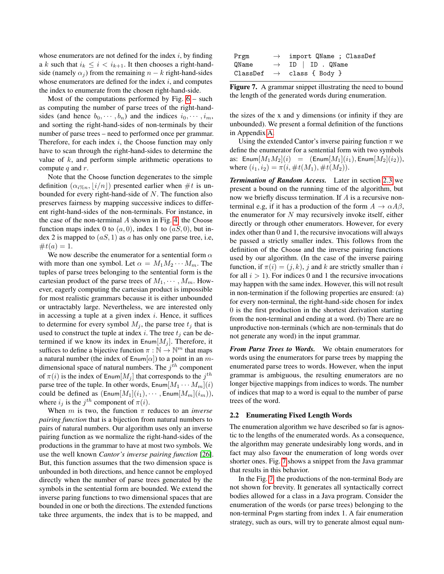whose enumerators are not defined for the index  $i$ , by finding a k such that  $i_k \leq i < i_{k+1}$ . It then chooses a right-handside (namely  $\alpha_i$ ) from the remaining  $n - k$  right-hand-sides whose enumerators are defined for the index  $i$ , and computes the index to enumerate from the chosen right-hand-side.

Most of the computations performed by Fig.  $6 -$  such as computing the number of parse trees of the right-handsides (and hence  $b_0, \dots, b_n$ ) and the indices  $i_0, \dots, i_m$ , and sorting the right-hand-sides of non-terminals by their number of parse trees – need to performed once per grammar. Therefore, for each index  $i$ , the Choose function may only have to scan through the right-hand-sides to determine the value of  $k$ , and perform simple arithmetic operations to compute  $q$  and  $r$ .

Note that the Choose function degenerates to the simple definition  $(\alpha_{i\%n}, \lfloor i/n \rfloor)$  presented earlier when #t is unbounded for every right-hand-side of  $N$ . The function also preserves fairness by mapping successive indices to different right-hand-sides of the non-terminals. For instance, in the case of the non-terminal  $A$  shown in Fig. [4,](#page-3-0) the Choose function maps index 0 to  $(a, 0)$ , index 1 to  $(aS, 0)$ , but index 2 is mapped to  $(aS, 1)$  as a has only one parse tree, i.e,  $\#t(a) = 1.$ 

We now describe the enumerator for a sentential form  $\alpha$ with more than one symbol. Let  $\alpha = M_1 M_2 \cdots M_m$ . The tuples of parse trees belonging to the sentential form is the cartesian product of the parse trees of  $M_1, \cdots, M_m$ . However, eagerly computing the cartesian product is impossible for most realistic grammars because it is either unbounded or untractably large. Nevertheless, we are interested only in accessing a tuple at a given index  $i$ . Hence, it suffices to determine for every symbol  $M_i$ , the parse tree  $t_i$  that is used to construct the tuple at index i. The tree  $t_j$  can be determined if we know its index in  $\text{Enum}[M_i]$ . Therefore, it suffices to define a bijective function  $\pi : \mathbb{N} \to \mathbb{N}^m$  that maps a natural number (the index of  $\text{Enum}[\alpha]$ ) to a point in an mdimensional space of natural numbers. The  $j^{th}$  component of  $\pi(i)$  is the index of Enum $[M_j]$  that corresponds to the  $j^{th}$ parse tree of the tuple. In other words,  $\text{Enum}[M_1 \cdots M_m](i)$ could be defined as  $(\text{Enum}[M_1](i_1), \cdots, \text{Enum}[M_m](i_m)),$ where  $i_j$  is the  $j^{th}$  component of  $\pi(i)$ .

When  $m$  is two, the function  $\pi$  reduces to an *inverse pairing function* that is a bijection from natural numbers to pairs of natural numbers. Our algorithm uses only an inverse pairing function as we normalize the right-hand-sides of the productions in the grammar to have at most two symbols. We use the well known *Cantor's inverse pairing function* [\[26\]](#page-16-5). But, this function assumes that the two dimension space is unbounded in both directions, and hence cannot be employed directly when the number of parse trees generated by the symbols in the sentential form are bounded. We extend the inverse paring functions to two dimensional spaces that are bounded in one or both the directions. The extended functions take three arguments, the index that is to be mapped, and

| Prgm  | $\rightarrow$ import QName ; ClassDef |
|-------|---------------------------------------|
| QName | $\rightarrow$ ID   ID . QName         |
|       | ClassDef $\rightarrow$ class { Body } |

<span id="page-4-0"></span>Figure 7. A grammar snippet illustrating the need to bound the length of the generated words during enumeration.

the sizes of the x and y dimensions (or infinity if they are unbounded). We present a formal definition of the functions in Appendix [A.](#page-16-4)

Using the extended Cantor's inverse pairing function  $\pi$  we define the enumerator for a sentential form with two symbols as:  $\text{Enum}[M_1M_2](i) = (\text{Enum}[M_1](i_1), \text{Enum}[M_2](i_2)),$ where  $(i_1, i_2) = \pi(i, \#t(M_1), \#t(M_2)).$ 

*Termination of Random Access.* Later in section [2.3](#page-5-1) we present a bound on the running time of the algorithm, but now we briefly discuss termination. If A is a recursive nonterminal e.g, if it has a production of the form  $A \to \alpha A \beta$ , the enumerator for  $N$  may recursively invoke itself, either directly or through other enumerators. However, for every index other than 0 and 1, the recursive invocations will always be passed a strictly smaller index. This follows from the definition of the Choose and the inverse pairing functions used by our algorithm. (In the case of the inverse pairing function, if  $\pi(i) = (j, k)$ , j and k are strictly smaller than i for all  $i > 1$ ). For indices 0 and 1 the recursive invocations may happen with the same index. However, this will not result in non-termination if the following properties are ensured: (a) for every non-terminal, the right-hand-side chosen for index 0 is the first production in the shortest derivation starting from the non-terminal and ending at a word. (b) There are no unproductive non-terminals (which are non-terminals that do not generate any word) in the input grammar.

*From Parse Trees to Words.* We obtain enumerators for words using the enumerators for parse trees by mapping the enumerated parse trees to words. However, when the input grammar is ambiguous, the resulting enumerators are no longer bijective mappings from indices to words. The number of indices that map to a word is equal to the number of parse trees of the word.

#### 2.2 Enumerating Fixed Length Words

The enumeration algorithm we have described so far is agnostic to the lengths of the enumerated words. As a consequence, the algorithm may generate undesirably long words, and in fact may also favour the enumeration of long words over shorter ones. Fig. [7](#page-4-0) shows a snippet from the Java grammar that results in this behavior.

In the Fig. [7,](#page-4-0) the productions of the non-terminal Body are not shown for brevity. It generates all syntactically correct bodies allowed for a class in a Java program. Consider the enumeration of the words (or parse trees) belonging to the non-terminal Prgm starting from index 1. A fair enumeration strategy, such as ours, will try to generate almost equal num-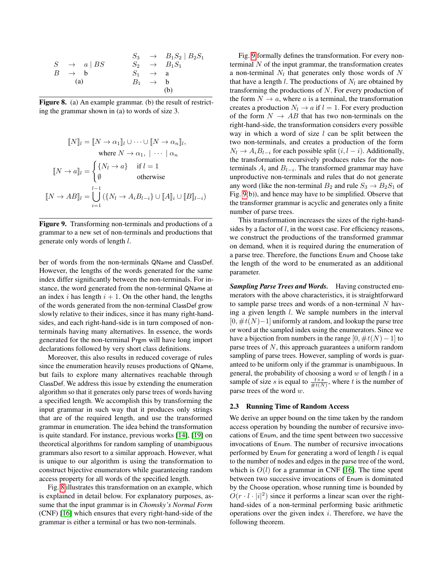|                        |                     | $S_3 \rightarrow B_1S_2 \mid B_2S_1$ |
|------------------------|---------------------|--------------------------------------|
| $S \rightarrow a   BS$ |                     | $S_2 \rightarrow B_1S_1$             |
| $B \rightarrow b$      | $S_1 \rightarrow a$ |                                      |
| (a)                    | $B_1 \rightarrow b$ |                                      |
|                        |                     | (b)                                  |

<span id="page-5-2"></span>Figure 8. (a) An example grammar. (b) the result of restricting the grammar shown in (a) to words of size 3.

$$
\llbracket N \rrbracket_l = \llbracket N \to \alpha_1 \rrbracket_l \cup \cdots \cup \llbracket N \to \alpha_n \rrbracket_l,
$$
\nwhere  $N \to \alpha_1, \mid \cdots \mid \alpha_n$   
\n
$$
\llbracket N \to a \rrbracket_l = \begin{cases} \{N_l \to a\} & \text{if } l = 1 \\ \emptyset & \text{otherwise} \end{cases}
$$
\n
$$
\llbracket N \to AB \rrbracket_l = \bigcup_{i=1}^{l-1} (\{N_l \to A_i B_{l-i}\} \cup \llbracket A \rrbracket_i \cup \llbracket B \rrbracket_{l-i})
$$

<span id="page-5-3"></span>Figure 9. Transforming non-terminals and productions of a grammar to a new set of non-terminals and productions that generate only words of length l.

ber of words from the non-terminals QName and ClassDef. However, the lengths of the words generated for the same index differ significantly between the non-terminals. For instance, the word generated from the non-terminal QName at an index i has length  $i + 1$ . On the other hand, the lengths of the words generated from the non-terminal ClassDef grow slowly relative to their indices, since it has many right-handsides, and each right-hand-side is in turn composed of nonterminals having many alternatives. In essence, the words generated for the non-terminal Prgm will have long import declarations followed by very short class definitions.

Moreover, this also results in reduced coverage of rules since the enumeration heavily reuses productions of QName, but fails to explore many alternatives reachable through ClassDef. We address this issue by extending the enumeration algorithm so that it generates only parse trees of words having a specified length. We accomplish this by transforming the input grammar in such way that it produces only strings that are of the required length, and use the transformed grammar in enumeration. The idea behind the transformation is quite standard. For instance, previous works [\[14\]](#page-15-4), [\[19\]](#page-15-5) on theoretical algorithms for random sampling of unambiguous grammars also resort to a similar approach. However, what is unique to our algorithm is using the transformation to construct bijective enumerators while guaranteeing random access property for all words of the specified length.

Fig. [8](#page-5-2) illustrates this transformation on an example, which is explained in detail below. For explanatory purposes, assume that the input grammar is in *Chomsky's Normal Form* (CNF) [\[16\]](#page-15-6) which ensures that every right-hand-side of the grammar is either a terminal or has two non-terminals.

Fig. [9](#page-5-3) formally defines the transformation. For every nonterminal  $N$  of the input grammar, the transformation creates a non-terminal  $N_l$  that generates only those words of N that have a length l. The productions of  $N_l$  are obtained by transforming the productions of N. For every production of the form  $N \to a$ , where a is a terminal, the transformation creates a production  $N_l \rightarrow a$  if  $l = 1$ . For every production of the form  $N \to AB$  that has two non-terminals on the right-hand-side, the transformation considers every possible way in which a word of size  $l$  can be split between the two non-terminals, and creates a production of the form  $N_l \rightarrow A_i B_{l-i}$  for each possible split  $(i, l-i)$ . Additionally, the transformation recursively produces rules for the nonterminals  $A_i$  and  $B_{l-i}$ . The transformed grammar may have unproductive non-terminals and rules that do not generate any word (like the non-terminal  $B_2$  and rule  $S_3 \rightarrow B_2S_1$  of Fig. [9\(](#page-5-3)b)), and hence may have to be simplified. Observe that the transformer grammar is acyclic and generates only a finite number of parse trees.

This transformation increases the sizes of the right-handsides by a factor of l, in the worst case. For efficiency reasons, we construct the productions of the transformed grammar on demand, when it is required during the enumeration of a parse tree. Therefore, the functions Enum and Choose take the length of the word to be enumerated as an additional parameter.

*Sampling Parse Trees and Words.* Having constructed enumerators with the above characteristics, it is straightforward to sample parse trees and words of a non-terminal  $N$  having a given length l. We sample numbers in the interval  $[0, \#t(N)-1]$  uniformly at random, and lookup the parse tree or word at the sampled index using the enumerators. Since we have a bijection from numbers in the range  $[0, \#t(N) - 1]$  to parse trees of N, this approach guarantees a uniform random sampling of parse trees. However, sampling of words is guaranteed to be uniform only if the grammar is unambiguous. In general, the probability of choosing a word  $w$  of length  $l$  in a sample of size s is equal to  $\frac{t \times s}{\# t(N)}$ , where t is the number of parse trees of the word w.

#### <span id="page-5-1"></span>2.3 Running Time of Random Access

<span id="page-5-0"></span>We derive an upper bound on the time taken by the random access operation by bounding the number of recursive invocations of Enum, and the time spent between two successive invocations of Enum. The number of recursive invocations performed by Enum for generating a word of length  $l$  is equal to the number of nodes and edges in the parse tree of the word, which is  $O(l)$  for a grammar in CNF [\[16\]](#page-15-6). The time spent between two successive invocations of Enum is dominated by the Choose operation, whose running time is bounded by  $O(r \cdot l \cdot |i|^2)$  since it performs a linear scan over the righthand-sides of a non-terminal performing basic arithmetic operations over the given index  $i$ . Therefore, we have the following theorem.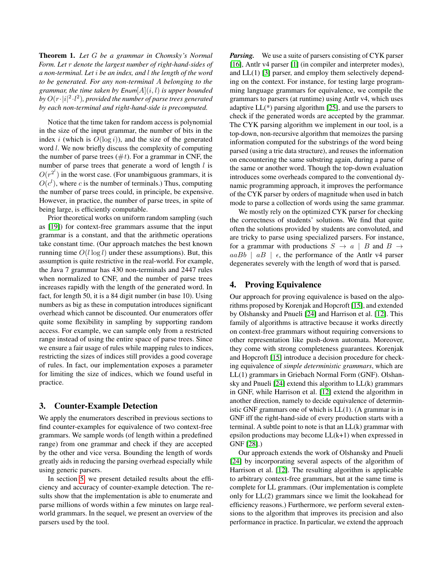Theorem 1. *Let* G *be a grammar in Chomsky's Normal Form. Let* r *denote the largest number of right-hand-sides of a non-terminal. Let* i *be an index, and* l *the length of the word to be generated. For any non-terminal* A *belonging to the grammar, the time taken by* Enum[A](i, l) *is upper bounded* by  $O(r \cdot |i|^2 \cdot l^2)$ , provided the number of parse trees generated *by each non-terminal and right-hand-side is precomputed.*

Notice that the time taken for random access is polynomial in the size of the input grammar, the number of bits in the index i (which is  $O(\log i)$ ), and the size of the generated word l. We now briefly discuss the complexity of computing the number of parse trees  $(\#t)$ . For a grammar in CNF, the number of parse trees that generate a word of length  $l$  is  $O(r^{2^l})$  in the worst case. (For unambiguous grammars, it is  $O(c^l)$ , where c is the number of terminals.) Thus, computing the number of parse trees could, in principle, be expensive. However, in practice, the number of parse trees, in spite of being large, is efficiently computable.

Prior theoretical works on uniform random sampling (such as [\[19\]](#page-15-5)) for context-free grammars assume that the input grammar is a constant, and that the arithmetic operations take constant time. (Our approach matches the best known running time  $O(l \log l)$  under these assumptions). But, this assumption is quite restrictive in the real-world. For example, the Java 7 grammar has 430 non-terminals and 2447 rules when normalized to CNF, and the number of parse trees increases rapidly with the length of the generated word. In fact, for length 50, it is a 84 digit number (in base 10). Using numbers as big as these in computation introduces significant overhead which cannot be discounted. Our enumerators offer quite some flexibility in sampling by supporting random access. For example, we can sample only from a restricted range instead of using the entire space of parse trees. Since we ensure a fair usage of rules while mapping rules to indices, restricting the sizes of indices still provides a good coverage of rules. In fact, our implementation exposes a parameter for limiting the size of indices, which we found useful in practice.

# <span id="page-6-0"></span>3. Counter-Example Detection

We apply the enumerators described in previous sections to find counter-examples for equivalence of two context-free grammars. We sample words (of length within a predefined range) from one grammar and check if they are accepted by the other and vice versa. Bounding the length of words greatly aids in reducing the parsing overhead especially while using generic parsers.

In section [5,](#page-10-0) we present detailed results about the efficiency and accuracy of counter-example detection. The results show that the implementation is able to enumerate and parse millions of words within a few minutes on large realworld grammars. In the sequel, we present an overview of the parsers used by the tool.

*Parsing.* We use a suite of parsers consisting of CYK parser [\[16\]](#page-15-6), Antlr v4 parser [\[1\]](#page-15-0) (in compiler and interpreter modes), and LL(1) [\[3\]](#page-15-7) parser, and employ them selectively depending on the context. For instance, for testing large programming language grammars for equivalence, we compile the grammars to parsers (at runtime) using Antlr v4, which uses adaptive LL(\*) parsing algorithm [\[25\]](#page-16-2), and use the parsers to check if the generated words are accepted by the grammar. The CYK parsing algorithm we implement in our tool, is a top-down, non-recursive algorithm that memoizes the parsing information computed for the substrings of the word being parsed (using a trie data structure), and reuses the information on encountering the same substring again, during a parse of the same or another word. Though the top-down evaluation introduces some overheads compared to the conventional dynamic programming approach, it improves the performance of the CYK parser by orders of magnitude when used in batch mode to parse a collection of words using the same grammar.

We mostly rely on the optimized CYK parser for checking the correctness of students' solutions. We find that quite often the solutions provided by students are convoluted, and are tricky to parse using specialized parsers. For instance, for a grammar with productions  $S \rightarrow a \mid B$  and  $B \rightarrow$  $aaBb \mid aB \mid \epsilon$ , the performance of the Antlr v4 parser degenerates severely with the length of word that is parsed.

## <span id="page-6-1"></span>4. Proving Equivalence

Our approach for proving equivalence is based on the algorithms proposed by Korenjak and Hopcroft [\[15\]](#page-15-2), and extended by Olshansky and Pnueli [\[24\]](#page-16-3) and Harrison et al. [\[12\]](#page-15-3). This family of algorithms is attractive because it works directly on context-free grammars without requiring conversions to other representation like push-down automata. Moreover, they come with strong completeness guarantees. Korenjak and Hopcroft [\[15\]](#page-15-2) introduce a decision procedure for checking equivalence of *simple deterministic grammars*, which are LL(1) grammars in Griebach Normal Form (GNF). Olshansky and Pnueli [\[24\]](#page-16-3) extend this algorithm to LL(k) grammars in GNF, while Harrison et al. [\[12\]](#page-15-3) extend the algorithm in another direction, namely to decide equivalence of deterministic GNF grammars one of which is LL(1). (A grammar is in GNF iff the right-hand-side of every production starts with a terminal. A subtle point to note is that an  $LL(k)$  grammar with epsilon productions may become LL(k+1) when expressed in GNF [\[28\]](#page-16-6).)

Our approach extends the work of Olshansky and Pnueli [\[24\]](#page-16-3) by incorporating several aspects of the algorithm of Harrison et al. [\[12\]](#page-15-3). The resulting algorithm is applicable to arbitrary context-free grammars, but at the same time is complete for LL grammars. (Our implementation is complete only for LL(2) grammars since we limit the lookahead for efficiency reasons.) Furthermore, we perform several extensions to the algorithm that improves its precision and also performance in practice. In particular, we extend the approach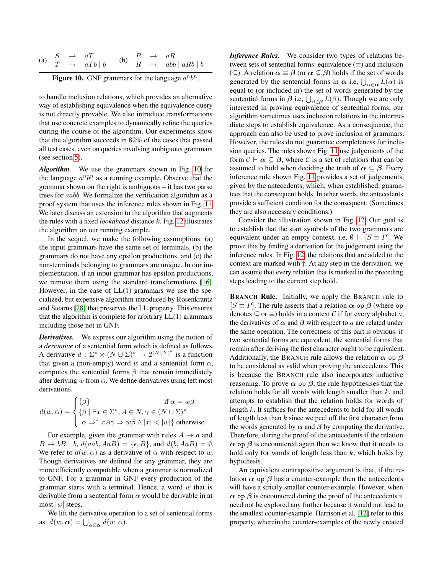|  | (a) $\begin{array}{rcl} S & \rightarrow & aT \\ T & \rightarrow & aTb \mid b \end{array}$ |  | (b) $\begin{array}{ccc} P & \to & aR \\ R & \to & abb \mid aRb \mid b \end{array}$ |
|--|-------------------------------------------------------------------------------------------|--|------------------------------------------------------------------------------------|

<span id="page-7-0"></span>Figure 10. GNF grammars for the language  $a^n b^n$ .

to handle inclusion relations, which provides an alternative way of establishing equivalence when the equivalence query is not directly provable. We also introduce transformations that use concrete examples to dynamically refine the queries during the course of the algorithm. Our experiments show that the algorithm succeeds in 82% of the cases that passed all test cases, even on queries involving ambiguous grammars (see section [5\)](#page-10-0).

*Algorithm.* We use the grammars shown in Fig. [10](#page-7-0) for the language  $a^n b^n$  as a running example. Observe that the grammar shown on the right is ambiguous – it has two parse trees for aabb. We formalize the verification algorithm as a proof system that uses the inference rules shown in Fig. [11.](#page-8-0) We later discuss an extension to the algorithm that augments the rules with a fixed *lookahead* distance k. Fig. [12](#page-8-1) illustrates the algorithm on our running example.

In the sequel, we make the following assumptions: (a) the input grammars have the same set of terminals, (b) the grammars do not have any epsilon productions, and (c) the non-terminals belonging to grammars are unique. In our implementation, if an input grammar has epsilon productions, we remove them using the standard transformations [\[16\]](#page-15-6). However, in the case of  $LL(1)$  grammars we use the specialized, but expensive algorithm introduced by Rosenkrantz and Stearns [\[28\]](#page-16-6) that preserves the LL property. This ensures that the algorithm is complete for arbitrary LL(1) grammars including those not in GNF.

*Derivatives.* We express our algorithm using the notion of a *derivative* of a sentential form which is defined as follows. A derivative  $d : \Sigma^* \times (N \cup \Sigma)^* \to 2^{(N \cup \Sigma)^*}$  is a function that given a (non-empty) word w and a sentential form  $\alpha$ , computes the sentential forms  $\beta$  that remain immediately after deriving w from  $\alpha$ . We define derivatives using left most derivations.

$$
d(w, \alpha) = \begin{cases} \{\beta\} & \text{if } \alpha = w\beta\\ \{\beta \mid \exists x \in \Sigma^*, A \in N, \gamma \in (N \cup \Sigma)^*\\ \alpha \Rightarrow^* xA\gamma \Rightarrow w\beta \wedge |x| < |w|\} & \text{otherwise} \end{cases}
$$

For example, given the grammar with rules  $A \rightarrow a$  and  $B \to bB \mid b, d(aab, AaB) = {\epsilon, B}$ , and  $d(b, AaB) = \emptyset$ . We refer to  $d(w, \alpha)$  as a derivative of  $\alpha$  with respect to w. Though derivatives are defined for any grammar, they are more efficiently computable when a grammar is normalized to GNF. For a grammar in GNF every production of the grammar starts with a terminal. Hence, a word  $w$  that is derivable from a sentential form  $\alpha$  would be derivable in at most  $|w|$  steps,

We lift the derivative operation to a set of sentential forms as:  $\hat{d}(w, \alpha) = \bigcup_{\alpha \in \alpha} d(w, \alpha)$ .

*Inference Rules.* We consider two types of relations between sets of sentential forms: equivalence  $(\equiv)$  and inclusion ( $\subseteq$ ). A relation  $\alpha \equiv \beta$  (or  $\alpha \subseteq \beta$ ) holds if the set of words generated by the sentential forms in  $\alpha$  i.e,  $\bigcup_{\alpha \in \alpha} L(\alpha)$  is equal to (or included in) the set of words generated by the sentential forms in  $\beta$  i.e,  $\bigcup_{\beta \in \beta} L(\beta)$ . Though we are only interested in proving equivalence of sentential forms, our algorithm sometimes uses inclusion relations in the intermediate steps to establish equivalence. As a consequence, the approach can also be used to prove inclusion of grammars. However, the rules do not guarantee completeness for inclusion queries. The rules shown Fig. [11](#page-8-0) use judgements of the form  $C \vdash \alpha \subseteq \beta$ , where C is a set of relations that can be assumed to hold when deciding the truth of  $\alpha \subseteq \beta$ . Every inference rule shown Fig. [11](#page-8-0) provides a set of judgements, given by the antecedents, which, when established, guarantees that the consequent holds. In other words, the antecedents provide a sufficient condition for the consequent. (Sometimes they are also necessary conditions.)

Consider the illustration shown in Fig. [12.](#page-8-1) Our goal is to establish that the start symbols of the two grammars are equivalent under an empty context, i.e,  $\emptyset \vdash [S \equiv P]$ . We prove this by finding a derivation for the judgement using the inference rules. In Fig. [12,](#page-8-1) the relations that are added to the context are marked with †. At any step in the derivation, we can assume that every relation that is marked in the preceding steps leading to the current step hold.

BRANCH Rule. Initially, we apply the BRANCH rule to  $[S \equiv P]$ . The rule asserts that a relation  $\alpha$  op  $\beta$  (where op denotes  $\subseteq$  or  $\equiv$ ) holds in a context C if for every alphabet a, the derivatives of  $\alpha$  and  $\beta$  with respect to a are related under the same operation. The correctness of this part is obvious: if two sentential forms are equivalent, the sentential forms that remain after deriving the first character ought to be equivalent. Additionally, the BRANCH rule allows the relation  $\alpha$  op  $\beta$ to be considered as valid when proving the antecedents. This is because the BRANCH rule also incorporates inductive reasoning. To prove  $\alpha$  op  $\beta$ , the rule hypothesises that the relation holds for all words with length smaller than  $k$ , and attempts to establish that the relation holds for words of length k. It suffices for the antecedents to hold for all words of length less than  $k$  since we peel off the first character from the words generated by  $\alpha$  and  $\beta$  by computing the derivative. Therefore, during the proof of the antecedents if the relation  $\alpha$  op  $\beta$  is encountered again then we know that it needs to hold only for words of length less than  $k$ , which holds by hypothesis.

An equivalent contrapositive argument is that, if the relation  $\alpha$  op  $\beta$  has a counter-example then the antecedents will have a strictly smaller counter-example. However, when  $\alpha$  op  $\beta$  is encountered during the proof of the antecedents it need not be explored any further because it would not lead to the smallest counter-example. Harrison et al. [\[12\]](#page-15-3) refer to this property, wherein the counter-examples of the newly created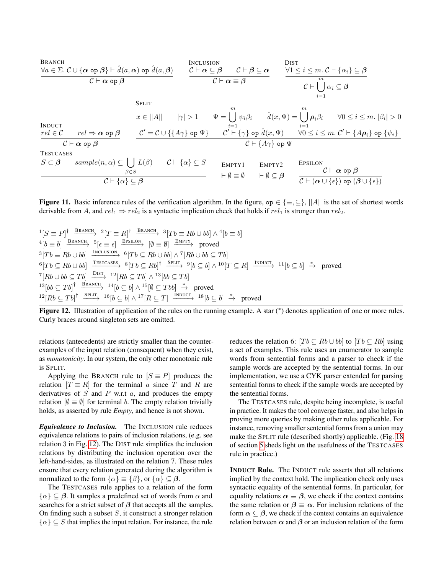**BRANCH**

\n
$$
\frac{\forall a \in \Sigma. C \cup \{\alpha \text{ op } \beta\} \vdash \hat{d}(a, \alpha) \text{ op } \hat{d}(a, \beta)}{C \vdash \alpha \text{ op } \beta}
$$

\n
$$
\frac{\forall c \in \alpha \in \beta \quad C \vdash \alpha \subseteq \beta \quad C \vdash \beta \subseteq \alpha}{C \vdash \alpha \equiv \beta}
$$

\n
$$
\frac{\forall 1 \leq i \leq m. C \vdash \{\alpha_i\} \subseteq \beta}{C \vdash \bigcup_{i=1}^{m} \alpha_i \subseteq \beta}
$$

\n**SPLIT**

\n
$$
x \in ||A|| \quad |\gamma| > 1 \quad \Psi = \bigcup_{i=1}^{m} \psi_i \beta_i \quad \hat{d}(x, \Psi) = \bigcup_{i=1}^{m} \rho_i \beta_i \quad \forall 0 \leq i \leq m. |\beta_i| > 0
$$

\n**INDUCT**

\n
$$
\frac{rel \in C}{C \vdash \alpha \text{ op } \beta}
$$

\n
$$
\frac{C' = C \cup \{\{\Delta \gamma\} \text{ op } \Psi\} \quad C' \vdash \{\gamma\} \text{ op } \hat{d}(x, \Psi) \quad \forall 0 \leq i \leq m. C' \vdash \{\Delta \rho_i\} \text{ op } \{\psi_i\}}{C \vdash \{\Delta \gamma\} \text{ op } \Psi}
$$

\n**TESTcases**

\n
$$
S \subset \beta
$$

\n
$$
\frac{\text{SISTCASES}}{S \subset \beta}
$$

\n
$$
\frac{\beta \in S}{C \vdash \{\alpha\} \subseteq \beta}
$$

\n
$$
\frac{\text{ENTY1}}{C \vdash \{\alpha\} \subseteq \beta}
$$

\n
$$
\frac{\text{ENTY2}}{C \vdash (\alpha \cup \{\epsilon\}) \text{ op } (\beta \cup \{\epsilon\})}
$$

\n
$$
\frac{\text{ESTCASES}}{C \vdash (\alpha \cup \{\epsilon\}) \text{ op } (\beta \cup \{\epsilon\})}
$$

<span id="page-8-0"></span>**Figure 11.** Basic inference rules of the verification algorithm. In the figure, op  $\in \{\equiv, \subseteq\}$ ,  $||A||$  is the set of shortest words derivable from A, and  $rel_1 \Rightarrow rel_2$  is a syntactic implication check that holds if  $rel_1$  is stronger than  $rel_2$ .

 ${}^{1}[S \equiv P]^\dagger \xrightarrow{\text{BRANCH}} {}^{2}[T \equiv R]^\dagger \xrightarrow{\text{BRANCH}} {}^{3}[Tb \equiv Rb \cup bb] \wedge {}^{4}[b \equiv b]$  ${}^{4}[b \equiv b] \xrightarrow{\text{BRANCH}} {}^{5}[\epsilon \equiv \epsilon] \xrightarrow{\text{EPSILON}} [\emptyset \equiv \emptyset] \xrightarrow{\text{EMPTY}} \text{proved}$  ${}^{3}[Tb \equiv Rb \cup bb] \xrightarrow{\text{INCLUSION}} {}^{6}[Tb \subseteq Rb \cup bb] \wedge {}^{7}[Rb \cup bb \subseteq Tb]$  ${}^{6}[Tb \subseteq Rb \cup bb] \xrightarrow{\text{TESTCASES}} {}^{8}[Tb \subseteq Rb]^{\dagger} \xrightarrow{\text{SPLIT}} {}^{9}[b \subseteq b] \wedge {}^{10}[T \subseteq R] \xrightarrow{\text{INDUCT}} {}^{11}[b \subseteq b] \xrightarrow{*} \text{proved}$  $\overline{T}[Rb \cup bb \subseteq Tb] \xrightarrow{\text{DIST}} 12[Rb \subseteq Tb] \wedge 13[bb \subseteq Tb]$  $13[bb \subseteq Tb]$ <sup>†</sup>  $\xrightarrow{\text{BRANCH}} 14[b \subseteq b] \wedge 15[\emptyset \subseteq Tbb] \xrightarrow{*}$  proved  $12[Rb \subseteq Tb]^{\dagger} \xrightarrow{\text{SPLIT}} 16[b \subseteq b] \wedge 17[R \subseteq T] \xrightarrow{\text{INDUCT}} 18[b \subseteq b] \xrightarrow{*} \text{proved}$ 

<span id="page-8-1"></span>Figure 12. Illustration of application of the rules on the running example. A star (\*) denotes application of one or more rules. Curly braces around singleton sets are omitted.

relations (antecedents) are strictly smaller than the counterexamples of the input relation (consequent) when they exist, as *monotonicity*. In our system, the only other monotonic rule is SPLIT.

Applying the BRANCH rule to  $[S \equiv P]$  produces the relation  $[T \equiv R]$  for the terminal a since T and R are derivatives of  $S$  and  $P$  w.r.t  $a$ , and produces the empty relation  $[\emptyset = \emptyset]$  for terminal b. The empty relation trivially holds, as asserted by rule *Empty*, and hence is not shown.

*Equivalence to Inclusion.* The INCLUSION rule reduces equivalence relations to pairs of inclusion relations, (e.g. see relation 3 in Fig. [12\)](#page-8-1). The DIST rule simplifies the inclusion relations by distributing the inclusion operation over the left-hand-sides, as illustrated on the relation 7. These rules ensure that every relation generated during the algorithm is normalized to the form  $\{\alpha\} \equiv \{\beta\}$ , or  $\{\alpha\} \subseteq \beta$ .

The TESTCASES rule applies to a relation of the form  $\{\alpha\} \subseteq \beta$ . It samples a predefined set of words from  $\alpha$  and searches for a strict subset of  $\beta$  that accepts all the samples. On finding such a subset  $S$ , it construct a stronger relation  $\{\alpha\} \subseteq S$  that implies the input relation. For instance, the rule reduces the relation 6:  $[Tb \subseteq Rb \cup bb]$  to  $[Tb \subseteq Rb]$  using a set of examples. This rule uses an enumerator to sample words from sentential forms and a parser to check if the sample words are accepted by the sentential forms. In our implementation, we use a CYK parser extended for parsing sentential forms to check if the sample words are accepted by the sentential forms.

The TESTCASES rule, despite being incomplete, is useful in practice. It makes the tool converge faster, and also helps in proving more queries by making other rules applicable. For instance, removing smaller sentential forms from a union may make the SPLIT rule (described shortly) applicable. (Fig. [18](#page-13-1) of section [5](#page-10-0) sheds light on the usefulness of the TESTCASES rule in practice.)

INDUCT Rule. The INDUCT rule asserts that all relations implied by the context hold. The implication check only uses syntactic equality of the sentential forms. In particular, for equality relations  $\alpha \equiv \beta$ , we check if the context contains the same relation or  $\beta \equiv \alpha$ . For inclusion relations of the form  $\alpha \subseteq \beta$ , we check if the context contains an equivalence relation between  $\alpha$  and  $\beta$  or an inclusion relation of the form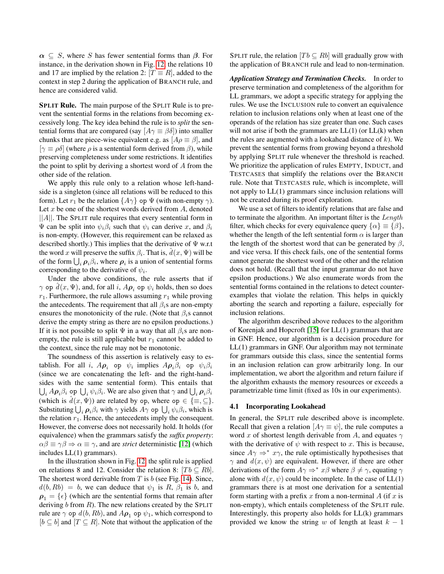$\alpha \subseteq S$ , where S has fewer sentential forms than  $\beta$ . For instance, in the derivation shown in Fig. [12,](#page-8-1) the relations 10 and 17 are implied by the relation 2:  $[T \equiv R]$ , added to the context in step 2 during the application of BRANCH rule, and hence are considered valid.

SPLIT Rule. The main purpose of the SPLIT Rule is to prevent the sentential forms in the relations from becoming excessively long. The key idea behind the rule is to *split* the sentential forms that are compared (say  $[A\gamma \equiv \beta \delta]$ ) into smaller chunks that are piece-wise equivalent e.g. as  $[A \rho \equiv \beta]$ , and  $[\gamma \equiv \rho \delta]$  (where  $\rho$  is a sentential form derived from  $\beta$ ), while preserving completeness under some restrictions. It identifies the point to split by deriving a shortest word of A from the other side of the relation.

We apply this rule only to a relation whose left-handside is a singleton (since all relations will be reduced to this form). Let  $r_1$  be the relation  $\{A\gamma\}$  op  $\Psi$  (with non-empty  $\gamma$ ). Let  $x$  be one of the shortest words derived from  $A$ , denoted  $||A||$ . The SPLIT rule requires that every sentential form in  $Ψ$  can be split into  $ψ<sub>i</sub>β<sub>i</sub>$  such that  $ψ<sub>i</sub>$  can derive x, and  $β<sub>i</sub>$ is non-empty. (However, this requirement can be relaxed as described shortly.) This implies that the derivative of  $\Psi$  w.r.t the word x will preserve the suffix  $\beta_i$ . That is,  $\hat{d}(x, \Psi)$  will be of the form  $\bigcup_i \rho_i \beta_i$ , where  $\rho_i$  is a union of sentential forms corresponding to the derivative of  $\psi_i$ .

Under the above conditions, the rule asserts that if  $\gamma$  op  $\tilde{d}(x, \Psi)$ , and, for all i,  $A\rho_i$  op  $\psi_i$  holds, then so does  $r_1$ . Furthermore, the rule allows assuming  $r_1$  while proving the antecedents. The requirement that all  $\beta_i$ s are non-empty ensures the monotonicity of the rule. (Note that  $\beta_i$ s cannot derive the empty string as there are no epsilon productions.) If it is not possible to split  $\Psi$  in a way that all  $\beta_i$ s are nonempty, the rule is still applicable but  $r_1$  cannot be added to the context, since the rule may not be monotonic.

The soundness of this assertion is relatively easy to establish. For all *i*,  $A\rho_i$  op  $\psi_i$  implies  $A\rho_i\beta_i$  op  $\psi_i\beta_i$ (since we are concatenating the left- and the right-handsides with the same sentential form). This entails that  $\bigcup_i A \rho_i \beta_i$  op  $\bigcup_i \psi_i \beta_i$ . We are also given that  $\gamma$  and  $\bigcup_i \rho_i \beta_i$ (which is  $\hat{d}(x, \Psi)$ ) are related by op, where op  $\in \{\equiv, \subseteq\}$ . Substituting  $\bigcup_i \rho_i \beta_i$  with  $\gamma$  yields  $A\gamma$  op  $\bigcup_i \psi_i \beta_i$ , which is the relation  $r_1$ . Hence, the antecedents imply the consequent. However, the converse does not necessarily hold. It holds (for equivalence) when the grammars satisfy the *suffix property*:  $\alpha\beta \equiv \gamma\beta \Rightarrow \alpha \equiv \gamma$ , and are *strict* deterministic [\[12\]](#page-15-3) (which includes LL(1) grammars).

In the illustration shown in Fig. [12,](#page-8-1) the split rule is applied on relations 8 and 12. Consider the relation 8:  $[Tb \subseteq Rb]$ . The shortest word derivable from  $T$  is  $b$  (see Fig. [14\)](#page-10-1). Since,  $d(b, Rb) = b$ , we can deduce that  $\psi_1$  is R,  $\beta_1$  is b, and  $\rho_1 = {\epsilon}$  (which are the sentential forms that remain after deriving  $b$  from  $R$ ). The new relations created by the SPLIT rule are  $\gamma$  op  $d(b, Rb)$ , and  $A\rho_1$  op  $\psi_1$ , which correspond to  $[b \subseteq b]$  and  $[T \subseteq R]$ . Note that without the application of the

SPLIT rule, the relation  $[Tb \subseteq Rb]$  will gradually grow with the application of BRANCH rule and lead to non-termination.

*Application Strategy and Termination Checks.* In order to preserve termination and completeness of the algorithm for LL grammars, we adopt a specific strategy for applying the rules. We use the INCLUSION rule to convert an equivalence relation to inclusion relations only when at least one of the operands of the relation has size greater than one. Such cases will not arise if both the grammars are  $LL(1)$  (or  $LL(k)$  when the rules are augmented with a lookahead distance of  $k$ ). We prevent the sentential forms from growing beyond a threshold by applying SPLIT rule whenever the threshold is reached. We prioritize the application of rules EMPTY, INDUCT, and TESTCASES that simplify the relations over the BRANCH rule. Note that TESTCASES rule, which is incomplete, will not apply to LL(1) grammars since inclusion relations will not be created during its proof exploration.

We use a set of filters to identify relations that are false and to terminate the algorithm. An important filter is the Length filter, which checks for every equivalence query  $\{\alpha\} \equiv \{\beta\},\$ whether the length of the left sentential form  $\alpha$  is larger than the length of the shortest word that can be generated by  $\beta$ , and vice versa. If this check fails, one of the sentential forms cannot generate the shortest word of the other and the relation does not hold. (Recall that the input grammar do not have epsilon productions.) We also enumerate words from the sentential forms contained in the relations to detect counterexamples that violate the relation. This helps in quickly aborting the search and reporting a failure, especially for inclusion relations.

The algorithm described above reduces to the algorithm of Korenjak and Hopcroft [\[15\]](#page-15-2) for LL(1) grammars that are in GNF. Hence, our algorithm is a decision procedure for LL(1) grammars in GNF. Our algorithm may not terminate for grammars outside this class, since the sentential forms in an inclusion relation can grow arbitrarily long. In our implementation, we abort the algorithm and return failure if the algorithm exhausts the memory resources or exceeds a parametrizable time limit (fixed as 10s in our experiments).

#### 4.1 Incorporating Lookahead

In general, the SPLIT rule described above is incomplete. Recall that given a relation  $[A\gamma \equiv \psi]$ , the rule computes a word x of shortest length derivable from A, and equates  $\gamma$ with the derivative of  $\psi$  with respect to x. This is because, since  $A\gamma \Rightarrow^* x\gamma$ , the rule optimistically hypothesises that  $\gamma$  and  $d(x, \psi)$  are equivalent. However, if there are other derivations of the form  $A\gamma \Rightarrow^* x\beta$  where  $\beta \neq \gamma$ , equating  $\gamma$ alone with  $d(x, \psi)$  could be incomplete. In the case of LL(1) grammars there is at most one derivation for a sentential form starting with a prefix  $x$  from a non-terminal  $A$  (if  $x$  is non-empty), which entails completeness of the SPLIT rule. Interestingly, this property also holds for  $LL(k)$  grammars provided we know the string w of length at least  $k - 1$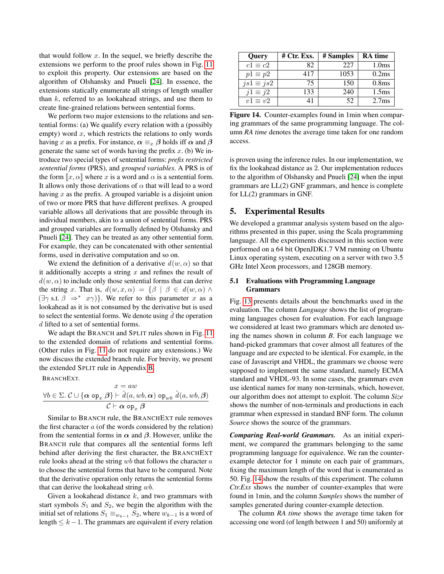that would follow  $x$ . In the sequel, we briefly describe the extensions we perform to the proof rules shown in Fig. [11](#page-8-0) to exploit this property. Our extensions are based on the algorithm of Olshansky and Pnueli [\[24\]](#page-16-3). In essence, the extensions statically enumerate all strings of length smaller than  $k$ , referred to as lookahead strings, and use them to create fine-grained relations between sentential forms.

We perform two major extensions to the relations and sentential forms: (a) We qualify every relation with a (possibly empty) word  $x$ , which restricts the relations to only words having x as a prefix. For instance,  $\alpha \equiv_x \beta$  holds iff  $\alpha$  and  $\beta$ generate the same set of words having the prefix  $x$ . (b) We introduce two special types of sentential forms: *prefix restricted sentential forms* (PRS), and *grouped variables*. A PRS is of the form  $\llbracket x, \alpha \rrbracket$  where x is a word and  $\alpha$  is a sentential form. It allows only those derivations of  $\alpha$  that will lead to a word having  $x$  as the prefix. A grouped variable is a disjoint union of two or more PRS that have different prefixes. A grouped variable allows all derivations that are possible through its individual members, akin to a union of sentential forms. PRS and grouped variables are formally defined by Olshansky and Pnueli [\[24\]](#page-16-3). They can be treated as any other sentential form. For example, they can be concatenated with other sentential forms, used in derivative computation and so on.

We extend the definition of a derivative  $d(w, \alpha)$  so that it additionally accepts a string  $x$  and refines the result of  $d(w, \alpha)$  to include only those sentential forms that can derive the string x. That is,  $d(w, x, \alpha) = {\beta \mid \beta \in d(w, \alpha) \land \beta}$  $(\exists \gamma \text{ s.t. } \beta \Rightarrow^* x \gamma)$ . We refer to this parameter x as a lookahead as it is not consumed by the derivative but is used to select the sentential forms. We denote using  $\hat{d}$  the operation d lifted to a set of sentential forms.

We adapt the BRANCH and SPLIT rules shown in Fig. [11](#page-8-0) to the extended domain of relations and sentential forms. (Other rules in Fig. [11](#page-8-0) do not require any extensions.) We now discuss the extended branch rule. For brevity, we present the extended SPLIT rule in Appendix [B.](#page-17-0)

BRANCHEXT.

$$
x = aw
$$
  
\n
$$
\forall b \in \Sigma. \ C \cup {\alpha \text{ op}_x \beta} \vdash \hat{d}(a, wb, \alpha) \text{ op}_{wb} \hat{d}(a, wb, \beta)
$$
  
\n
$$
C \vdash \alpha \text{ op}_x \beta
$$

Similar to BRANCH rule, the BRANCHEXT rule removes the first character  $a$  (of the words considered by the relation) from the sentential forms in  $\alpha$  and  $\beta$ . However, unlike the BRANCH rule that compares all the sentential forms left behind after deriving the first character, the BRANCHEXT rule looks ahead at the string  $wb$  that follows the character  $a$ to choose the sentential forms that have to be compared. Note that the derivative operation only returns the sentential forms that can derive the lookahead string wb.

Given a lookahead distance  $k$ , and two grammars with start symbols  $S_1$  and  $S_2$ , we begin the algorithm with the initial set of relations  $S_1 \equiv_{w_{k-1}} S_2$ , where  $w_{k-1}$  is a word of length  $\leq k-1$ . The grammars are equivalent if every relation

| Query            | $#$ Ctr. Exs. | # Samples | <b>RA</b> time    |
|------------------|---------------|-----------|-------------------|
| $c1 \equiv c2$   | 82            | 227       | 1.0 <sub>ms</sub> |
| $p1 \equiv p2$   | 417           | 1053      | 0.2ms             |
| $js1 \equiv js2$ | 75            | 150       | 0.8 <sub>ms</sub> |
| $j1 \equiv j2$   | 133           | 240       | 1.5 <sub>ms</sub> |
| $v1 \equiv v2$   | 41            | 52        | 2.7 <sub>ms</sub> |

<span id="page-10-1"></span>Figure 14. Counter-examples found in 1min when comparing grammars of the same programming language. The column *RA time* denotes the average time taken for one random access.

is proven using the inference rules. In our implementation, we fix the lookahead distance as 2. Our implementation reduces to the algorithm of Olshansky and Pnueli [\[24\]](#page-16-3) when the input grammars are LL(2) GNF grammars, and hence is complete for LL(2) grammars in GNF.

## <span id="page-10-0"></span>5. Experimental Results

We developed a grammar analysis system based on the algorithms presented in this paper, using the Scala programming language. All the experiments discussed in this section were performed on a 64 bit OpenJDK1.7 VM running on Ubuntu Linux operating system, executing on a server with two 3.5 GHz Intel Xeon processors, and 128GB memory.

## 5.1 Evaluations with Programming Language Grammars

Fig. [13](#page-11-0) presents details about the benchmarks used in the evaluation. The column *Language* shows the list of programming languages chosen for evaluation. For each language we considered at least two grammars which are denoted using the names shown in column *B*. For each language we hand-picked grammars that cover almost all features of the language and are expected to be identical. For example, in the case of Javascript and VHDL, the grammars we choose were supposed to implement the same standard, namely ECMA standard and VHDL-93. In some cases, the grammars even use identical names for many non-terminals, which, however, our algorithm does not attempt to exploit. The column *Size* shows the number of non-terminals and productions in each grammar when expressed in standard BNF form. The column *Source* shows the source of the grammars.

*Comparing Real-world Grammars.* As an initial experiment, we compared the grammars belonging to the same programming language for equivalence. We ran the counterexample detector for 1 minute on each pair of grammars, fixing the maximum length of the word that is enumerated as 50. Fig. [14](#page-10-1) show the results of this experiment. The column *Ctr.Exs* shows the number of counter-examples that were found in 1min, and the column *Samples* shows the number of samples generated during counter-example detection.

The column *RA time* shows the average time taken for accessing one word (of length between 1 and 50) uniformly at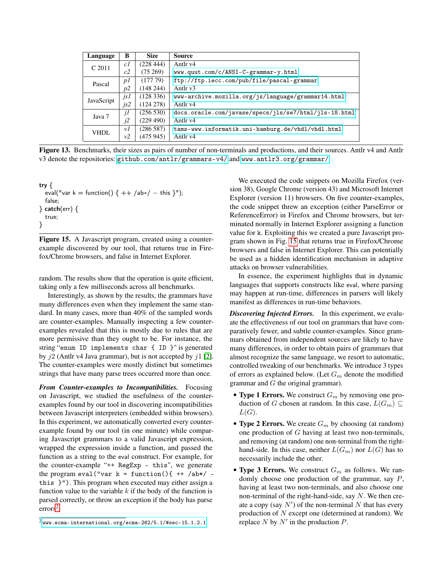| Language                      | B              | <b>Size</b> | <b>Source</b>                                         |
|-------------------------------|----------------|-------------|-------------------------------------------------------|
| C 2011                        | c1             | (228444)    | Antlr v <sub>4</sub>                                  |
|                               | c2             | (75269)     | www.quut.com/c/ANSI-C-grammar-y.html                  |
| Pascal                        | p <sub>I</sub> | (17779)     | ftp://ftp.iecc.com/pub/file/pascal-grammar            |
| p2                            |                | (148244)    | Antlr v3                                              |
| (128336)<br>jsl<br>JavaScript |                |             | www-archive.mozilla.org/js/language/grammar14.html    |
|                               | is2            | (124 278)   | Antlr v <sub>4</sub>                                  |
| (256530)<br>jI<br>Java 7      |                |             | docs.oracle.com/javase/specs/jls/se7/html/jls-18.html |
|                               | j2             | (229 490)   | Antlr v <sub>4</sub>                                  |
| <b>VHDL</b>                   | vI             | (286587)    | tams-www.informatik.uni-hamburg.de/vhdl/vhdl.html     |
|                               | v2             | (475 945)   | Antlr v4                                              |

<span id="page-11-0"></span>Figure 13. Benchmarks, their sizes as pairs of number of non-terminals and productions, and their sources. Antlr v4 and Antlr v3 denote the repositories: <github.com/antlr/grammars-v4/> and <www.antlr3.org/grammar/>.

| try $\{$                                          |
|---------------------------------------------------|
| eval("var k = function() { $++$ /ab*/ - this }"); |
| false:                                            |
| $\}$ catch(err) $\{$                              |
| true:                                             |
|                                                   |

<span id="page-11-2"></span>Figure 15. A Javascript program, created using a counterexample discovered by our tool, that returns true in Firefox/Chrome browsers, and false in Internet Explorer.

random. The results show that the operation is quite efficient, taking only a few milliseconds across all benchmarks.

Interestingly, as shown by the results, the grammars have many differences even when they implement the same standard. In many cases, more than 40% of the sampled words are counter-examples. Manually inspecting a few counterexamples revealed that this is mostly due to rules that are more permissive than they ought to be. For instance, the string "enum ID implements char { ID }" is generated by  $j2$  (Antlr v4 Java grammar), but is not accepted by  $j1$  [\[2\]](#page-15-1). The counter-examples were mostly distinct but sometimes strings that have many parse trees occurred more than once.

*From Counter-examples to Incompatibilities.* Focusing on Javascript, we studied the usefulness of the counterexamples found by our tool in discovering incompatibilities between Javascript interpreters (embedded within browsers). In this experiment, we automatically converted every counterexample found by our tool (in one minute) while comparing Javascript grammars to a valid Javascript expression, wrapped the expression inside a function, and passed the function as a string to the eval construct. For example, for the counter-example "++ RegExp - this", we generate the program eval("var  $k = function()$ { ++ /ab\*/ this }"). This program when executed may either assign a function value to the variable  $k$  if the body of the function is parsed correctly, or throw an exception if the body has parse errors<sup>[2](#page-11-1)</sup>.

We executed the code snippets on Mozilla Firefox (version 38), Google Chrome (version 43) and Microsoft Internet Explorer (version 11) browsers. On five counter-examples, the code snippet threw an exception (either ParseError or ReferenceError) in Firefox and Chrome browsers, but terminated normally in Internet Explorer assigning a function value for k. Exploiting this we created a pure Javascript program shown in Fig. [15](#page-11-2) that returns true in Firefox/Chrome browsers and false in Internet Explorer. This can potentially be used as a hidden identification mechanism in adaptive attacks on browser vulnerabilities.

In essence, the experiment highlights that in dynamic languages that supports constructs like eval, where parsing may happen at run-time, differences in parsers will likely manifest as differences in run-time behaviors.

*Discovering Injected Errors.* In this experiment, we evaluate the effectiveness of our tool on grammars that have comparatively fewer, and subtle counter-examples. Since grammars obtained from independent sources are likely to have many differences, in order to obtain pairs of grammars that almost recognize the same language, we resort to automatic, controlled tweaking of our benchmarks. We introduce 3 types of errors as explained below. (Let  $G_m$  denote the modified grammar and  $G$  the original grammar).

- Type 1 Errors. We construct  $G_m$  by removing one production of G chosen at random. In this case,  $L(G_m) \subseteq$  $L(G).$
- Type 2 Errors. We create  $G_m$  by choosing (at random) one production of G having at least two non-terminals, and removing (at random) one non-terminal from the righthand-side. In this case, neither  $L(G_m)$  nor  $L(G)$  has to necessarily include the other.
- Type 3 Errors. We construct  $G_m$  as follows. We randomly choose one production of the grammar, say  $P$ , having at least two non-terminals, and also choose one non-terminal of the right-hand-side, say N. We then create a copy (say  $N'$ ) of the non-terminal N that has every production of N except one (determined at random). We replace  $N$  by  $N'$  in the production  $P$ .

<span id="page-11-1"></span> $2$ <www.ecma-international.org/ecma-262/5.1/#sec-15.1.2.1>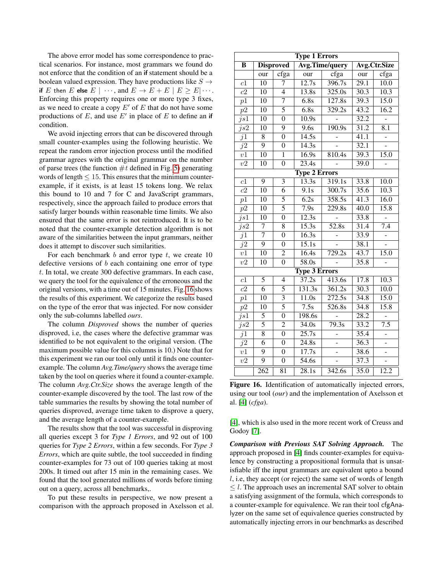The above error model has some correspondence to practical scenarios. For instance, most grammars we found do not enforce that the condition of an if statement should be a boolean valued expression. They have productions like  $S \rightarrow$ if E then E else  $E \mid \cdots$ , and  $E \to E + E \mid E \geq E | \cdots$ . Enforcing this property requires one or more type 3 fixes, as we need to create a copy  $E'$  of  $E$  that do not have some productions of  $E$ , and use  $E'$  in place of  $E$  to define an if condition.

We avoid injecting errors that can be discovered through small counter-examples using the following heuristic. We repeat the random error injection process until the modified grammar agrees with the original grammar on the number of parse trees (the function  $\#t$  defined in Fig. [5\)](#page-3-2) generating words of length  $\leq 15$ . This ensures that the minimum counterexample, if it exists, is at least 15 tokens long. We relax this bound to 10 and 7 for C and JavaScript grammars, respectively, since the approach failed to produce errors that satisfy larger bounds within reasonable time limits. We also ensured that the same error is not reintroduced. It is to be noted that the counter-example detection algorithm is not aware of the similarities between the input grammars, neither does it attempt to discover such similarities.

For each benchmark  $b$  and error type  $t$ , we create 10 defective versions of  $b$  each containing one error of type t. In total, we create 300 defective grammars. In each case, we query the tool for the equivalence of the erroneous and the original versions, with a time out of 15 minutes. Fig. [16](#page-12-0) shows the results of this experiment. We categorize the results based on the type of the error that was injected. For now consider only the sub-columns labelled *ours*.

The column *Disproved* shows the number of queries disproved, i.e, the cases where the defective grammar was identified to be not equivalent to the original version. (The maximum possible value for this columns is 10.) Note that for this experiment we ran our tool only until it finds one counterexample. The column *Avg.Time/query* shows the average time taken by the tool on queries where it found a counter-example. The column *Avg.Ctr.Size* shows the average length of the counter-example discovered by the tool. The last row of the table summaries the results by showing the total number of queries disproved, average time taken to disprove a query, and the average length of a counter-example.

The results show that the tool was successful in disproving all queries except 3 for *Type 1 Errors*, and 92 out of 100 queries for *Type 2 Errors*, within a few seconds. For *Type 3 Errors*, which are quite subtle, the tool succeeded in finding counter-examples for 73 out of 100 queries taking at most 200s. It timed out after 15 min in the remaining cases. We found that the tool generated millions of words before timing out on a query, across all benchmarks,.

To put these results in perspective, we now present a comparison with the approach proposed in Axelsson et al.

| <b>Type 1 Errors</b> |                                                           |                  |                      |                     |                   |                   |  |
|----------------------|-----------------------------------------------------------|------------------|----------------------|---------------------|-------------------|-------------------|--|
| В                    | <b>Avg.Time/query</b><br><b>Disproved</b><br>Avg.Ctr.Size |                  |                      |                     |                   |                   |  |
|                      | our                                                       | cfga             | our                  | cfga                | our               | cfga              |  |
| c1                   | $\overline{10}$                                           | 7                | $\overline{12.7s}$   | 396.7s              | $\overline{29.1}$ | $\overline{10.0}$ |  |
| c2                   | 10                                                        | $\overline{4}$   | 13.8s                | 325.0s              | $\overline{30.3}$ | 10.3              |  |
| p1                   | $\overline{10}$                                           | 7                | 6.8s                 | 127.8s              | 39.3              | 15.0              |  |
| p2                   | $\overline{10}$                                           | $\overline{5}$   | 6.8s                 | 329.2s              | 43.2              | 16.2              |  |
| $j_{s1}$             | $\overline{10}$                                           | $\boldsymbol{0}$ | $\overline{10.9s}$   |                     | 32.2              |                   |  |
| $j_{s2}$             | $\overline{10}$                                           | $\overline{9}$   | 9.6s                 | $\frac{190.9s}{2}$  | $\overline{31.2}$ | $\overline{8.1}$  |  |
| j1                   | $\overline{8}$                                            | $\overline{0}$   | $\overline{14.5s}$   |                     | $\overline{41.1}$ |                   |  |
| $\overline{j2}$      | $\overline{9}$                                            | $\overline{0}$   | $\frac{14.3s}{ }$    |                     | 32.1              |                   |  |
| v1                   | $\overline{10}$                                           | $\mathbf{1}$     | $\overline{16.9s}$   | 810.4s              | 39.3              | 15.0              |  |
| v2                   | 10                                                        | $\overline{0}$   | 23.4s                |                     | 39.0              |                   |  |
|                      |                                                           |                  | <b>Type 2 Errors</b> |                     |                   |                   |  |
| c1                   | $\overline{9}$                                            | 3                | 13.3s                | 319.1s              | 33.8              | 10.0              |  |
| c2                   | 10                                                        | $\overline{6}$   | 9.1s                 | 300.7s              | 35.6              | 10.3              |  |
| p1                   | 10                                                        | $\overline{5}$   | 6.2s                 | 358.5s              | 41.3              | 16.0              |  |
| p2                   | $\overline{10}$                                           | $\overline{5}$   | $\overline{7.9s}$    | $\overline{229.8s}$ | $\overline{40.0}$ | 15.8              |  |
| $j_{s1}$             | 10                                                        | $\overline{0}$   | 12.3s                |                     | 33.8              |                   |  |
| $j_{s2}$             | $\overline{7}$                                            | 8                | 15.3s                | $\overline{52.8s}$  | 31.4              | 7.4               |  |
| j1                   | $\overline{7}$                                            | $\overline{0}$   | $\overline{16.3s}$   |                     | 33.9              |                   |  |
| j2                   | $\overline{9}$                                            | $\overline{0}$   | $\overline{15.1s}$   |                     | 38.1              |                   |  |
| $\overline{v1}$      | $\overline{10}$                                           | $\overline{2}$   | $\overline{16.4s}$   | 729.2s              | 43.7              | 15.0              |  |
| $\overline{v2}$      | $\overline{10}$                                           | $\overline{0}$   | $\overline{58.0s}$   |                     | 35.8              |                   |  |
|                      |                                                           |                  | <b>Type 3 Errors</b> |                     |                   |                   |  |
| c1                   | $\overline{5}$                                            | $\overline{4}$   | $\overline{37.2s}$   | 413.6s              | 17.8              | $\overline{10.3}$ |  |
| $\overline{c2}$      | $\overline{6}$                                            | $\overline{5}$   | $\frac{131.3s}{ }$   | $\overline{361.2s}$ | $\frac{30.3}{ }$  | $\frac{10.0}{2}$  |  |
| $p\overline{1}$      | $\overline{10}$                                           | $\overline{3}$   | $\overline{11.0s}$   | $\overline{272.5s}$ | 34.8              | 15.0              |  |
| $p\overline{2}$      | $\overline{10}$                                           | $\overline{5}$   | $\overline{7.5s}$    | 526.8s              | 34.8              | 15.8              |  |
| $j_{s1}$             | $\overline{5}$                                            | $\overline{0}$   | 198.6s               |                     | $\overline{28.2}$ |                   |  |
| $j_{s2}$             | $\overline{5}$                                            | $\overline{2}$   | $\overline{34.0s}$   | $\overline{79.3s}$  | 33.2              | $\overline{7.5}$  |  |
| j1                   | $\overline{8}$                                            | $\overline{0}$   | $\overline{25.7s}$   |                     | 35.4              |                   |  |
| $j\overline{2}$      | $\overline{6}$                                            | $\overline{0}$   | 24.8s                |                     | 36.3              | ÷,                |  |
| v1                   | $\overline{9}$                                            | $\overline{0}$   | $\overline{17.7s}$   |                     | 38.6              |                   |  |
| $\overline{v2}$      | $\overline{9}$                                            | $\overline{0}$   | $\overline{54.6s}$   |                     | 37.3              | $\overline{a}$    |  |
|                      | $\overline{262}$                                          | $\overline{81}$  | $\overline{28.1s}$   | $\overline{342.6s}$ | $\frac{35.0}{ }$  | 12.2              |  |

<span id="page-12-0"></span>Figure 16. Identification of automatically injected errors, using our tool (*our*) and the implementation of Axelsson et al. [\[4\]](#page-15-8) (*cfga*).

[\[4\]](#page-15-8), which is also used in the more recent work of Creuss and Godoy [\[7\]](#page-15-9).

*Comparison with Previous SAT Solving Approach.* The approach proposed in [\[4\]](#page-15-8) finds counter-examples for equivalence by constructing a propositional formula that is unsatisfiable iff the input grammars are equivalent upto a bound l, i.e, they accept (or reject) the same set of words of length  $\leq l$ . The approach uses an incremental SAT solver to obtain a satisfying assignment of the formula, which corresponds to a counter-example for equivalence. We ran their tool cfgAnalyzer on the same set of equivalence queries constructed by automatically injecting errors in our benchmarks as described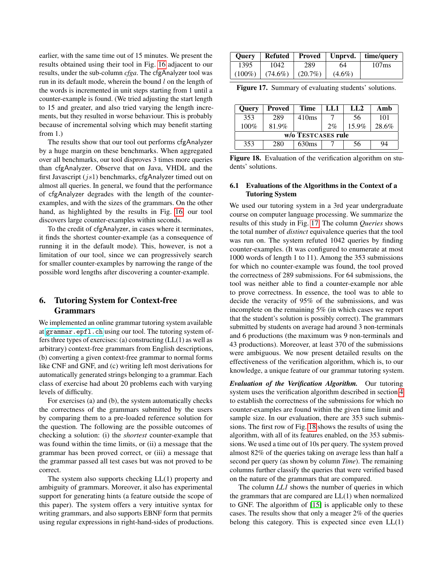earlier, with the same time out of 15 minutes. We present the results obtained using their tool in Fig. [16](#page-12-0) adjacent to our results, under the sub-column *cfga*. The cfgAnalyzer tool was run in its default mode, wherein the bound  $l$  on the length of the words is incremented in unit steps starting from 1 until a counter-example is found. (We tried adjusting the start length to 15 and greater, and also tried varying the length increments, but they resulted in worse behaviour. This is probably because of incremental solving which may benefit starting from 1.)

The results show that our tool out performs cfgAnalyzer by a huge margin on these benchmarks. When aggregated over all benchmarks, our tool disproves 3 times more queries than cfgAnalyzer. Observe that on Java, VHDL and the first Javascript  $(js1)$  benchmarks, cfgAnalyzer timed out on almost all queries. In general, we found that the performance of cfgAnalyzer degrades with the length of the counterexamples, and with the sizes of the grammars. On the other hand, as highlighted by the results in Fig. [16,](#page-12-0) our tool discovers large counter-examples within seconds.

To the credit of cfgAnalyzer, in cases where it terminates, it finds the shortest counter-example (as a consequence of running it in the default mode). This, however, is not a limitation of our tool, since we can progressively search for smaller counter-examples by narrowing the range of the possible word lengths after discovering a counter-example.

# <span id="page-13-0"></span>6. Tutoring System for Context-free Grammars

We implemented an online grammar tutoring system available at <grammar.epfl.ch> using our tool. The tutoring system offers three types of exercises: (a) constructing (LL(1) as well as arbitrary) context-free grammars from English descriptions, (b) converting a given context-free grammar to normal forms like CNF and GNF, and (c) writing left most derivations for automatically generated strings belonging to a grammar. Each class of exercise had about 20 problems each with varying levels of difficulty.

For exercises (a) and (b), the system automatically checks the correctness of the grammars submitted by the users by comparing them to a pre-loaded reference solution for the question. The following are the possible outcomes of checking a solution: (i) the *shortest* counter-example that was found within the time limits, or (ii) a message that the grammar has been proved correct, or (iii) a message that the grammar passed all test cases but was not proved to be correct.

The system also supports checking LL(1) property and ambiguity of grammars. Moreover, it also has experimental support for generating hints (a feature outside the scope of this paper). The system offers a very intuitive syntax for writing grammars, and also supports EBNF form that permits using regular expressions in right-hand-sides of productions.

| <b>Ouery</b> | <b>Refuted</b> | Proved     |           | Unprvd.   time/query |
|--------------|----------------|------------|-----------|----------------------|
| 1395         | 1042           | 289        | 64        | 107 <sub>ms</sub>    |
| $(100\%)$    | $(74.6\%)$     | $(20.7\%)$ | $(4.6\%)$ |                      |

<span id="page-13-2"></span>Figure 17. Summary of evaluating students' solutions.

| Query              | <b>Proved</b> | Time              | LL 1 | LL <sub>2</sub> | Amb   |
|--------------------|---------------|-------------------|------|-----------------|-------|
| 353                | 289           | 410ms             |      | 56              | 101   |
| 100%               | 81.9%         |                   | 2%   | 15.9%           | 28.6% |
| w/o TESTCASES rule |               |                   |      |                 |       |
| 353                | 280           | 630 <sub>ms</sub> |      | 56              | 94    |

<span id="page-13-1"></span>Figure 18. Evaluation of the verification algorithm on students' solutions.

## 6.1 Evaluations of the Algorithms in the Context of a Tutoring System

We used our tutoring system in a 3rd year undergraduate course on computer language processing. We summarize the results of this study in Fig. [17.](#page-13-2) The column *Queries* shows the total number of *distinct* equivalence queries that the tool was run on. The system refuted 1042 queries by finding counter-examples. (It was configured to enumerate at most 1000 words of length 1 to 11). Among the 353 submissions for which no counter-example was found, the tool proved the correctness of 289 submissions. For 64 submissions, the tool was neither able to find a counter-example nor able to prove correctness. In essence, the tool was to able to decide the veracity of 95% of the submissions, and was incomplete on the remaining 5% (in which cases we report that the student's solution is possibly correct). The grammars submitted by students on average had around 3 non-terminals and 6 productions (the maximum was 9 non-terminals and 43 productions). Moreover, at least 370 of the submissions were ambiguous. We now present detailed results on the effectiveness of the verification algorithm, which is, to our knowledge, a unique feature of our grammar tutoring system.

*Evaluation of the Verification Algorithm.* Our tutoring system uses the verification algorithm described in section [4](#page-6-1) to establish the correctness of the submissions for which no counter-examples are found within the given time limit and sample size. In our evaluation, there are 353 such submissions. The first row of Fig. [18](#page-13-1) shows the results of using the algorithm, with all of its features enabled, on the 353 submissions. We used a time out of 10s per query. The system proved almost 82% of the queries taking on average less than half a second per query (as shown by column *Time*). The remaining columns further classify the queries that were verified based on the nature of the grammars that are compared.

The column *LL1* shows the number of queries in which the grammars that are compared are LL(1) when normalized to GNF. The algorithm of [\[15\]](#page-15-2) is applicable only to these cases. The results show that only a meager 2% of the queries belong this category. This is expected since even LL(1)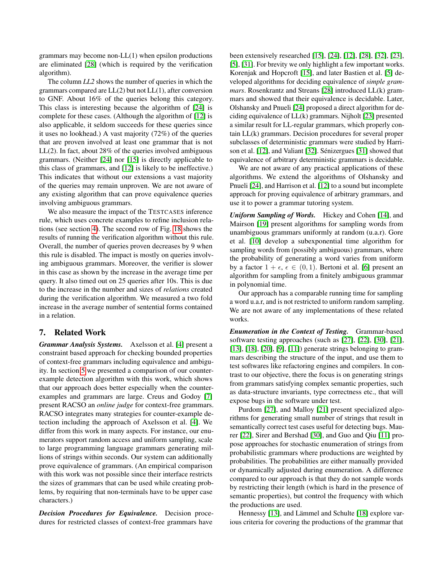grammars may become non-LL(1) when epsilon productions are eliminated [\[28\]](#page-16-6) (which is required by the verification algorithm).

The column *LL2* shows the number of queries in which the grammars compared are LL(2) but not LL(1), after conversion to GNF. About 16% of the queries belong this category. This class is interesting because the algorithm of [\[24\]](#page-16-3) is complete for these cases. (Although the algorithm of [\[12\]](#page-15-3) is also applicable, it seldom succeeds for these queries since it uses no lookhead.) A vast majority (72%) of the queries that are proven involved at least one grammar that is not LL(2). In fact, about 28% of the queries involved ambiguous grammars. (Neither [\[24\]](#page-16-3) nor [\[15\]](#page-15-2) is directly applicable to this class of grammars, and [\[12\]](#page-15-3) is likely to be ineffective.) This indicates that without our extensions a vast majority of the queries may remain unproven. We are not aware of any existing algorithm that can prove equivalence queries involving ambiguous grammars.

We also measure the impact of the TESTCASES inference rule, which uses concrete examples to refine inclusion relations (see section [4\)](#page-6-1). The second row of Fig. [18](#page-13-1) shows the results of running the verification algorithm without this rule. Overall, the number of queries proven decreases by 9 when this rule is disabled. The impact is mostly on queries involving ambiguous grammars. Moreover, the verifier is slower in this case as shown by the increase in the average time per query. It also timed out on 25 queries after 10s. This is due to the increase in the number and sizes of *relations* created during the verification algorithm. We measured a two fold increase in the average number of sentential forms contained in a relation.

# 7. Related Work

*Grammar Analysis Systems.* Axelsson et al. [\[4\]](#page-15-8) present a constraint based approach for checking bounded properties of context-free grammars including equivalence and ambiguity. In section [5](#page-10-0) we presented a comparison of our counterexample detection algorithm with this work, which shows that our approach does better especially when the counterexamples and grammars are large. Creus and Godoy [\[7\]](#page-15-9) present RACSO an *online judge* for context-free grammars. RACSO integrates many strategies for counter-example detection including the approach of Axelsson et al. [\[4\]](#page-15-8). We differ from this work in many aspects. For instance, our enumerators support random access and uniform sampling, scale to large programming language grammars generating millions of strings within seconds. Our system can additionally prove equivalence of grammars. (An empirical comparison with this work was not possible since their interface restricts the sizes of grammars that can be used while creating problems, by requiring that non-terminals have to be upper case characters.)

*Decision Procedures for Equivalence.* Decision procedures for restricted classes of context-free grammars have

been extensively researched [\[15\]](#page-15-2), [\[24\]](#page-16-3), [\[12\]](#page-15-3), [\[28\]](#page-16-6), [\[32\]](#page-16-7), [\[23\]](#page-15-10), [\[5\]](#page-15-11), [\[31\]](#page-16-8). For brevity we only highlight a few important works. Korenjak and Hopcroft [\[15\]](#page-15-2), and later Bastien et al. [\[5\]](#page-15-11) developed algorithms for deciding equivalence of *simple grammars*. Rosenkrantz and Streans [\[28\]](#page-16-6) introduced LL(k) grammars and showed that their equivalence is decidable. Later, Olshansky and Pnueli [\[24\]](#page-16-3) proposed a direct algorithm for deciding equivalence of LL(k) grammars. Nijholt [\[23\]](#page-15-10) presented a similar result for LL-regular grammars, which properly contain LL(k) grammars. Decision procedures for several proper subclasses of deterministic grammars were studied by Harrison et al. [\[12\]](#page-15-3), and Valiant [\[32\]](#page-16-7). Sénizergues [\[31\]](#page-16-8) showed that equivalence of arbitrary deterministic grammars is decidable.

We are not aware of any practical applications of these algorithms. We extend the algorithms of Olshansky and Pnueli [\[24\]](#page-16-3), and Harrison et al. [\[12\]](#page-15-3) to a sound but incomplete approach for proving equivalence of arbitrary grammars, and use it to power a grammar tutoring system.

*Uniform Sampling of Words.* Hickey and Cohen [\[14\]](#page-15-4), and Mairson [\[19\]](#page-15-5) present algorithms for sampling words from unambiguous grammars uniformly at random (u.a.r). Gore et al. [\[10\]](#page-15-12) develop a subexponential time algorithm for sampling words from (possibly ambiguous) grammars, where the probability of generating a word varies from uniform by a factor  $1 + \epsilon$ ,  $\epsilon \in (0, 1)$ . Bertoni et al. [\[6\]](#page-15-13) present an algorithm for sampling from a finitely ambiguous grammar in polynomial time.

Our approach has a comparable running time for sampling a word u.a.r, and is not restricted to uniform random sampling. We are not aware of any implementations of these related works.

*Enumeration in the Context of Testing.* Grammar-based software testing approaches (such as [\[27\]](#page-16-9), [\[22\]](#page-15-14), [\[30\]](#page-16-10), [\[21\]](#page-15-15), [\[13\]](#page-15-16), [\[18\]](#page-15-17), [\[20\]](#page-15-18), [\[9\]](#page-15-19), [\[11\]](#page-15-20)) generate strings belonging to grammars describing the structure of the input, and use them to test softwares like refactoring engines and compilers. In contrast to our objective, there the focus is on generating strings from grammars satisfying complex semantic properties, such as data-structure invariants, type correctness etc., that will expose bugs in the software under test.

Purdom [\[27\]](#page-16-9), and Malloy [\[21\]](#page-15-15) present specialized algorithms for generating small number of strings that result in semantically correct test cases useful for detecting bugs. Maurer [\[22\]](#page-15-14), Sirer and Bershad [\[30\]](#page-16-10), and Guo and Qiu [\[11\]](#page-15-20) propose approaches for stochastic enumeration of strings from probabilistic grammars where productions are weighted by probabilities. The probabilities are either manually provided or dynamically adjusted during enumeration. A difference compared to our approach is that they do not sample words by restricting their length (which is hard in the presence of semantic properties), but control the frequency with which the productions are used.

Hennessy [\[13\]](#page-15-16), and Lämmel and Schulte [\[18\]](#page-15-17) explore various criteria for covering the productions of the grammar that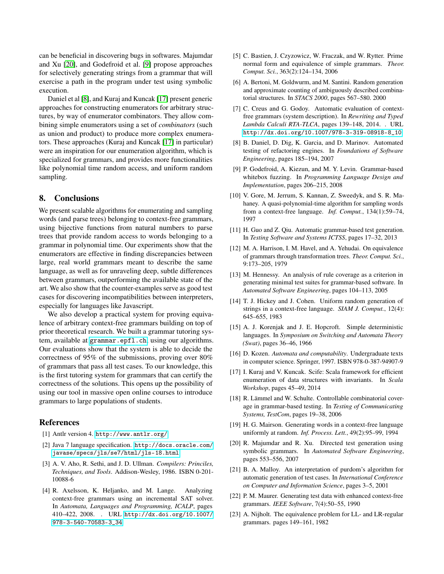can be beneficial in discovering bugs in softwares. Majumdar and Xu [\[20\]](#page-15-18), and Godefroid et al. [\[9\]](#page-15-19) propose approaches for selectively generating strings from a grammar that will exercise a path in the program under test using symbolic execution.

Daniel et al [\[8\]](#page-15-21), and Kuraj and Kuncak [\[17\]](#page-15-22) present generic approaches for constructing enumerators for arbitrary structures, by way of enumerator combinators. They allow combining simple enumerators using a set of *combinators* (such as union and product) to produce more complex enumerators. These approaches (Kuraj and Kuncak [\[17\]](#page-15-22) in particular) were an inspiration for our enumeration algorithm, which is specialized for grammars, and provides more functionalities like polynomial time random access, and uniform random sampling.

#### 8. Conclusions

We present scalable algorithms for enumerating and sampling words (and parse trees) belonging to context-free grammars, using bijective functions from natural numbers to parse trees that provide random access to words belonging to a grammar in polynomial time. Our experiments show that the enumerators are effective in finding discrepancies between large, real world grammars meant to describe the same language, as well as for unraveling deep, subtle differences between grammars, outperforming the available state of the art. We also show that the counter-examples serve as good test cases for discovering incompatibilities between interpreters, especially for languages like Javascript.

We also develop a practical system for proving equivalence of arbitrary context-free grammars building on top of prior theoretical research. We built a grammar tutoring system, available at <grammar.epfl.ch>, using our algorithms. Our evaluations show that the system is able to decide the correctness of 95% of the submissions, proving over 80% of grammars that pass all test cases. To our knowledge, this is the first tutoring system for grammars that can certify the correctness of the solutions. This opens up the possibility of using our tool in massive open online courses to introduce grammars to large populations of students.

#### References

- <span id="page-15-0"></span>[1] Antlr version 4. <http://www.antlr.org/>
- <span id="page-15-1"></span>[2] Java 7 language specification. [http://docs.oracle.com/](http://docs.oracle.com/javase/specs/jls/se7/html/jls-18.html) [javase/specs/jls/se7/html/jls-18.html](http://docs.oracle.com/javase/specs/jls/se7/html/jls-18.html)
- <span id="page-15-7"></span>[3] A. V. Aho, R. Sethi, and J. D. Ullman. *Compilers: Princiles, Techniques, and Tools*. Addison-Wesley, 1986. ISBN 0-201- 10088-6
- <span id="page-15-8"></span>[4] R. Axelsson, K. Heljanko, and M. Lange. Analyzing context-free grammars using an incremental SAT solver. In *Automata, Languages and Programming, ICALP*, pages 410–422, 2008. . URL [http://dx.doi.org/10.1007/](http://dx.doi.org/10.1007/978-3-540-70583-3_34) [978-3-540-70583-3\\_34](http://dx.doi.org/10.1007/978-3-540-70583-3_34)
- <span id="page-15-11"></span>[5] C. Bastien, J. Czyzowicz, W. Fraczak, and W. Rytter. Prime normal form and equivalence of simple grammars. *Theor. Comput. Sci.*, 363(2):124–134, 2006
- <span id="page-15-13"></span>[6] A. Bertoni, M. Goldwurm, and M. Santini. Random generation and approximate counting of ambiguously described combinatorial structures. In *STACS 2000*, pages 567–580. 2000
- <span id="page-15-9"></span>[7] C. Creus and G. Godoy. Automatic evaluation of contextfree grammars (system description). In *Rewriting and Typed Lambda Calculi RTA-TLCA*, pages 139–148, 2014. . URL [http://dx.doi.org/10.1007/978-3-319-08918-8\\_10](http://dx.doi.org/10.1007/978-3-319-08918-8_10)
- <span id="page-15-21"></span>[8] B. Daniel, D. Dig, K. Garcia, and D. Marinov. Automated testing of refactoring engines. In *Foundations of Software Engineering*, pages 185–194, 2007
- <span id="page-15-19"></span>[9] P. Godefroid, A. Kiezun, and M. Y. Levin. Grammar-based whitebox fuzzing. In *Programming Language Design and Implementation*, pages 206–215, 2008
- <span id="page-15-12"></span>[10] V. Gore, M. Jerrum, S. Kannan, Z. Sweedyk, and S. R. Mahaney. A quasi-polynomial-time algorithm for sampling words from a context-free language. *Inf. Comput.*, 134(1):59–74, 1997
- <span id="page-15-20"></span>[11] H. Guo and Z. Qiu. Automatic grammar-based test generation. In *Testing Software and Systems ICTSS*, pages 17–32, 2013
- <span id="page-15-3"></span>[12] M. A. Harrison, I. M. Havel, and A. Yehudai. On equivalence of grammars through transformation trees. *Theor. Comput. Sci.*, 9:173–205, 1979
- <span id="page-15-16"></span>[13] M. Hennessy. An analysis of rule coverage as a criterion in generating minimal test suites for grammar-based software. In *Automated Software Engineering*, pages 104–113, 2005
- <span id="page-15-4"></span>[14] T. J. Hickey and J. Cohen. Uniform random generation of strings in a context-free language. *SIAM J. Comput.*, 12(4): 645–655, 1983
- <span id="page-15-2"></span>[15] A. J. Korenjak and J. E. Hopcroft. Simple deterministic languages. In *Symposium on Switching and Automata Theory (Swat)*, pages 36–46, 1966
- <span id="page-15-6"></span>[16] D. Kozen. *Automata and computability*. Undergraduate texts in computer science. Springer, 1997. ISBN 978-0-387-94907-9
- <span id="page-15-22"></span>[17] I. Kuraj and V. Kuncak. Scife: Scala framework for efficient enumeration of data structures with invariants. In *Scala Workshop*, pages 45–49, 2014
- <span id="page-15-17"></span>[18] R. Lämmel and W. Schulte. Controllable combinatorial coverage in grammar-based testing. In *Testing of Communicating Systems, TestCom*, pages 19–38, 2006
- <span id="page-15-5"></span>[19] H. G. Mairson. Generating words in a context-free language uniformly at random. *Inf. Process. Lett.*, 49(2):95–99, 1994
- <span id="page-15-18"></span>[20] R. Majumdar and R. Xu. Directed test generation using symbolic grammars. In *Automated Software Engineering*, pages 553–556, 2007
- <span id="page-15-15"></span>[21] B. A. Malloy. An interpretation of purdom's algorithm for automatic generation of test cases. In *International Conference on Computer and Information Science*, pages 3–5, 2001
- <span id="page-15-14"></span>[22] P. M. Maurer. Generating test data with enhanced context-free grammars. *IEEE Software*, 7(4):50–55, 1990
- <span id="page-15-10"></span>[23] A. Nijholt. The equivalence problem for LL- and LR-regular grammars. pages 149–161, 1982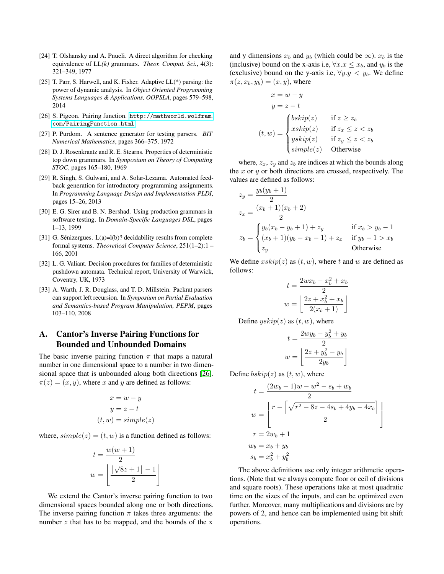- <span id="page-16-3"></span>[24] T. Olshansky and A. Pnueli. A direct algorithm for checking equivalence of LL*(k)* grammars. *Theor. Comput. Sci.*, 4(3): 321–349, 1977
- <span id="page-16-2"></span>[25] T. Parr, S. Harwell, and K. Fisher. Adaptive LL(\*) parsing: the power of dynamic analysis. In *Object Oriented Programming Systems Languages & Applications, OOPSLA*, pages 579–598, 2014
- <span id="page-16-5"></span>[26] S. Pigeon. Pairing function. [http://mathworld.wolfram.](http://mathworld.wolfram.com/PairingFunction.html) [com/PairingFunction.html](http://mathworld.wolfram.com/PairingFunction.html)
- <span id="page-16-9"></span>[27] P. Purdom. A sentence generator for testing parsers. *BIT Numerical Mathematics*, pages 366–375, 1972
- <span id="page-16-6"></span>[28] D. J. Rosenkrantz and R. E. Stearns. Properties of deterministic top down grammars. In *Symposium on Theory of Computing STOC*, pages 165–180, 1969
- <span id="page-16-1"></span>[29] R. Singh, S. Gulwani, and A. Solar-Lezama. Automated feedback generation for introductory programming assignments. In *Programming Language Design and Implementation PLDI*, pages 15–26, 2013
- <span id="page-16-10"></span>[30] E. G. Sirer and B. N. Bershad. Using production grammars in software testing. In *Domain-Specific Languages DSL*, pages 1–13, 1999
- <span id="page-16-8"></span>[31] G. Sénizergues. L(a)=l(b)? decidability results from complete formal systems. *Theoretical Computer Science*, 251(1–2):1 – 166, 2001
- <span id="page-16-7"></span>[32] L. G. Valiant. Decision procedures for families of deterministic pushdown automata. Technical report, University of Warwick, Coventry, UK, 1973
- <span id="page-16-0"></span>[33] A. Warth, J. R. Douglass, and T. D. Millstein. Packrat parsers can support left recursion. In *Symposium on Partial Evaluation and Semantics-based Program Manipulation, PEPM*, pages 103–110, 2008

# <span id="page-16-4"></span>A. Cantor's Inverse Pairing Functions for Bounded and Unbounded Domains

The basic inverse pairing function  $\pi$  that maps a natural number in one dimensional space to a number in two dimensional space that is unbounded along both directions [\[26\]](#page-16-5).  $\pi(z) = (x, y)$ , where x and y are defined as follows:

$$
x = w - y
$$

$$
y = z - t
$$

$$
(t, w) = simple(z)
$$

where,  $simple(z) = (t, w)$  is a function defined as follows:

$$
t = \frac{w(w+1)}{2}
$$

$$
w = \left\lfloor \frac{\lfloor \sqrt{8z+1} \rfloor - 1}{2} \right\rfloor
$$

We extend the Cantor's inverse pairing function to two dimensional spaces bounded along one or both directions. The inverse pairing function  $\pi$  takes three arguments: the number  $z$  that has to be mapped, and the bounds of the x

and y dimensions  $x_b$  and  $y_b$  (which could be  $\infty$ ).  $x_b$  is the (inclusive) bound on the x-axis i.e,  $\forall x.x \leq x_b$ , and  $y_b$  is the (exclusive) bound on the y-axis i.e,  $\forall y \cdot y \langle y \rangle$ . We define  $\pi(z, x_b, y_b) = (x, y)$ , where

$$
x = w - y
$$
  
\n
$$
y = z - t
$$
  
\n
$$
(t, w) = \begin{cases} bskip(z) & \text{if } z \ge z_b \\ xskip(z) & \text{if } z_x \le z < z_b \\ yskip(z) & \text{if } z_y \le z < z_b \\ simple(z) & \text{Otherwise} \end{cases}
$$

where,  $z_x$ ,  $z_y$  and  $z_b$  are indices at which the bounds along the  $x$  or  $y$  or both directions are crossed, respectively. The values are defined as follows:

$$
z_y = \frac{y_b(y_b + 1)}{2}
$$
  
\n
$$
z_x = \frac{(x_b + 1)(x_b + 2)}{2}
$$
  
\n
$$
z_b = \begin{cases} y_b(x_b - y_b + 1) + z_y & \text{if } x_b > y_b - 1 \\ (x_b + 1)(y_b - x_b - 1) + z_x & \text{if } y_b - 1 > x_b \\ z_y & \text{Otherwise} \end{cases}
$$

We define  $xskip(z)$  as  $(t, w)$ , where t and w are defined as follows:

$$
t = \frac{2wx_b - x_b^2 + x_b}{2}
$$

$$
w = \left\lfloor \frac{2z + x_b^2 + x_b}{2(x_b + 1)} \right\rfloor
$$

Define  $yskip(z)$  as  $(t, w)$ , where

$$
t = \frac{2wy_b - y_b^2 + y_b}{2}
$$

$$
w = \left\lfloor \frac{2z + y_b^2 - y_b}{2y_b} \right\rfloor
$$

Define  $bskip(z)$  as  $(t, w)$ , where

$$
t = \frac{(2w_b - 1)w - w^2 - s_b + w_b}{2}
$$
  

$$
w = \left[ \frac{r - \left[ \sqrt{r^2 - 8z - 4s_b + 4y_b - 4x_b} \right]}{2} \right]
$$
  

$$
r = 2w_b + 1
$$
  

$$
w_b = x_b + y_b
$$
  

$$
s_b = x_b^2 + y_b^2
$$

The above definitions use only integer arithmetic operations. (Note that we always compute floor or ceil of divisions and square roots). These operations take at most quadratic time on the sizes of the inputs, and can be optimized even further. Moreover, many multiplications and divisions are by powers of 2, and hence can be implemented using bit shift operations.